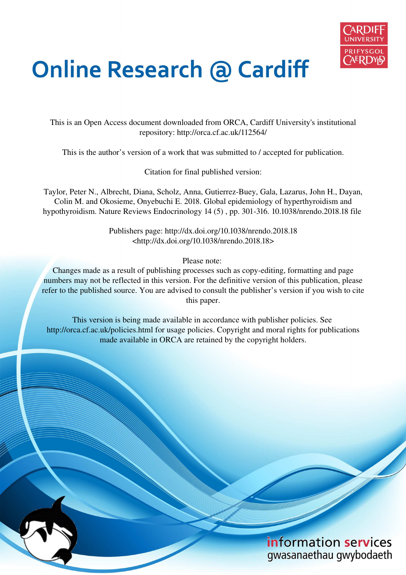

# **Online Research @ Cardiff**

This is an Open Access document downloaded from ORCA, Cardiff University's institutional repository: http://orca.cf.ac.uk/112564/

This is the author's version of a work that was submitted to / accepted for publication.

Citation for final published version:

Taylor, Peter N., Albrecht, Diana, Scholz, Anna, Gutierrez-Buey, Gala, Lazarus, John H., Dayan, Colin M. and Okosieme, Onyebuchi E. 2018. Global epidemiology of hyperthyroidism and hypothyroidism. Nature Reviews Endocrinology 14 (5) , pp. 301-316. 10.1038/nrendo.2018.18 file

> Publishers page: http://dx.doi.org/10.1038/nrendo.2018.18 <http://dx.doi.org/10.1038/nrendo.2018.18>

> > Please note:

Changes made as a result of publishing processes such as copy-editing, formatting and page numbers may not be reflected in this version. For the definitive version of this publication, please refer to the published source. You are advised to consult the publisher's version if you wish to cite this paper.

This version is being made available in accordance with publisher policies. See http://orca.cf.ac.uk/policies.html for usage policies. Copyright and moral rights for publications made available in ORCA are retained by the copyright holders.

# information services gwasanaethau gwybodaeth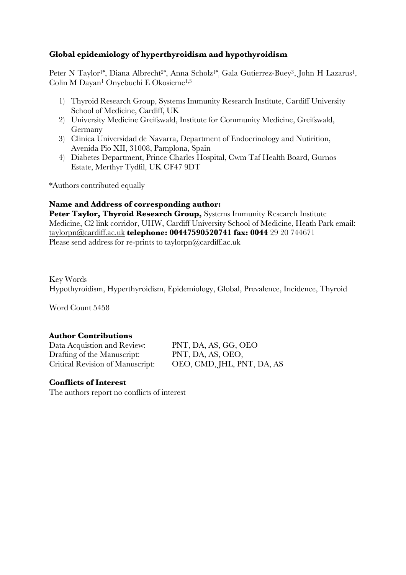# **Global epidemiology of hyperthyroidism and hypothyroidism**

Peter N Taylor<sup>1\*</sup>, Diana Albrecht<sup>2\*</sup>, Anna Scholz<sup>1\*</sup>, Gala Gutierrez-Buey<sup>3</sup>, John H Lazarus<sup>1</sup>, Colin M Dayan<sup>1</sup> Onyebuchi E Okosieme1,3

- 1) Thyroid Research Group, Systems Immunity Research Institute, Cardiff University School of Medicine, Cardiff, UK
- 2) University Medicine Greifswald, Institute for Community Medicine, Greifswald, Germany
- 3) Clinica Universidad de Navarra, Department of Endocrinology and Nutirition, Avenida Pio XII, 31008, Pamplona, Spain
- 4) Diabetes Department, Prince Charles Hospital, Cwm Taf Health Board, Gurnos Estate, Merthyr Tydfil, UK CF47 9DT

\*Authors contributed equally

# **Name and Address of corresponding author:**

Peter Taylor, Thyroid Research Group, Systems Immunity Research Institute Medicine, C2 link corridor, UHW, Cardiff University School of Medicine, Heath Park email: taylorpn@cardiff.ac.uk **telephone: 00447590520741 fax: 0044** 29 20 744671 Please send address for re-prints to taylorpn@cardiff.ac.uk

Key Words Hypothyroidism, Hyperthyroidism, Epidemiology, Global, Prevalence, Incidence, Thyroid

Word Count 5458

# **Author Contributions**

Data Acquistion and Review: PNT, DA, AS, GG, OEO Drafting of the Manuscript: PNT, DA, AS, OEO,

Critical Revision of Manuscript: OEO, CMD, JHL, PNT, DA, AS

# **Conflicts of Interest**

The authors report no conflicts of interest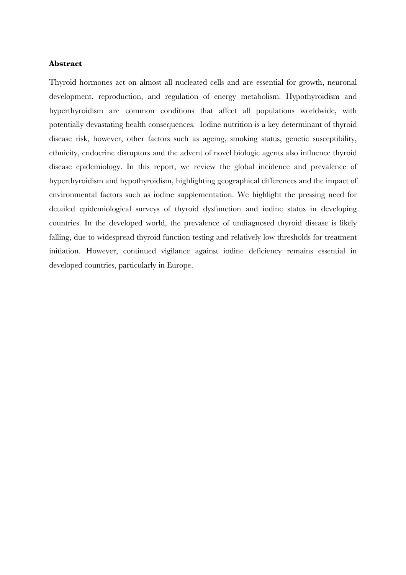#### **Abstract**

Thyroid hormones act on almost all nucleated cells and are essential for growth, neuronal development, reproduction, and regulation of energy metabolism. Hypothyroidism and hyperthyroidism are common conditions that affect all populations worldwide, with potentially devastating health consequences. Iodine nutrition is a key determinant of thyroid disease risk, however, other factors such as ageing, smoking status, genetic susceptibility, ethnicity, endocrine disruptors and the advent of novel biologic agents also influence thyroid disease epidemiology. In this report, we review the global incidence and prevalence of hyperthyroidism and hypothyroidism, highlighting geographical differences and the impact of environmental factors such as iodine supplementation. We highlight the pressing need for detailed epidemiological surveys of thyroid dysfunction and iodine status in developing countries. In the developed world, the prevalence of undiagnosed thyroid disease is likely falling, due to widespread thyroid function testing and relatively low thresholds for treatment initiation. However, continued vigilance against iodine deficiency remains essential in developed countries, particularly in Europe.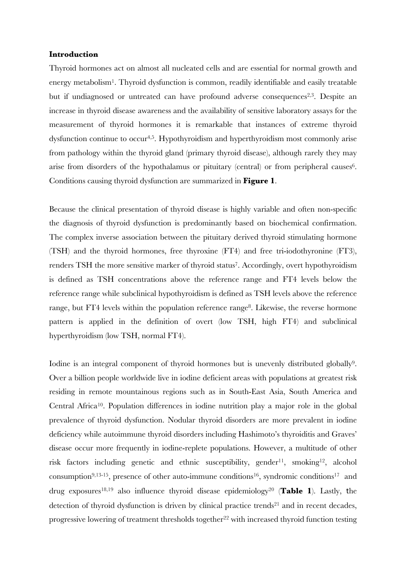#### **Introduction**

Thyroid hormones act on almost all nucleated cells and are essential for normal growth and energy metabolism<sup>1</sup>. Thyroid dysfunction is common, readily identifiable and easily treatable but if undiagnosed or untreated can have profound adverse consequences<sup>2,3</sup>. Despite an increase in thyroid disease awareness and the availability of sensitive laboratory assays for the measurement of thyroid hormones it is remarkable that instances of extreme thyroid dysfunction continue to occur<sup>4,5</sup>. Hypothyroidism and hyperthyroidism most commonly arise from pathology within the thyroid gland (primary thyroid disease), although rarely they may arise from disorders of the hypothalamus or pituitary (central) or from peripheral causes<sup>6</sup>. Conditions causing thyroid dysfunction are summarized in **Figure 1**.

Because the clinical presentation of thyroid disease is highly variable and often non-specific the diagnosis of thyroid dysfunction is predominantly based on biochemical confirmation. The complex inverse association between the pituitary derived thyroid stimulating hormone (TSH) and the thyroid hormones, free thyroxine (FT4) and free tri-iodothyronine (FT3), renders TSH the more sensitive marker of thyroid status<sup>7</sup> . Accordingly, overt hypothyroidism is defined as TSH concentrations above the reference range and FT4 levels below the reference range while subclinical hypothyroidism is defined as TSH levels above the reference range, but FT4 levels within the population reference range<sup>8</sup>. Likewise, the reverse hormone pattern is applied in the definition of overt (low TSH, high FT4) and subclinical hyperthyroidism (low TSH, normal FT4).

Iodine is an integral component of thyroid hormones but is unevenly distributed globally<sup>9</sup>. Over a billion people worldwide live in iodine deficient areas with populations at greatest risk residing in remote mountainous regions such as in South-East Asia, South America and Central Africa<sup>10</sup>. Population differences in iodine nutrition play a major role in the global prevalence of thyroid dysfunction. Nodular thyroid disorders are more prevalent in iodine deficiency while autoimmune thyroid disorders including Hashimoto's thyroiditis and Graves' disease occur more frequently in iodine-replete populations. However, a multitude of other risk factors including genetic and ethnic susceptibility, gender<sup>11</sup>, smoking<sup>12</sup>, alcohol consumption<sup>9,13-15</sup>, presence of other auto-immune conditions<sup>16</sup>, syndromic conditions<sup>17</sup> and drug exposures18,19 also influence thyroid disease epidemiology<sup>20</sup> (**Table 1**). Lastly, the detection of thyroid dysfunction is driven by clinical practice trends <sup>21</sup> and in recent decades, progressive lowering of treatment thresholds together<sup>22</sup> with increased thyroid function testing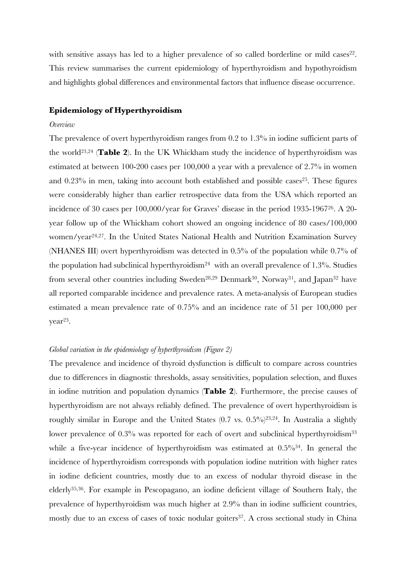with sensitive assays has led to a higher prevalence of so called borderline or mild cases<sup>22</sup>. This review summarises the current epidemiology of hyperthyroidism and hypothyroidism and highlights global differences and environmental factors that influence disease occurrence.

#### **Epidemiology of Hyperthyroidism**

#### *Overview*

The prevalence of overt hyperthyroidism ranges from 0.2 to 1.3% in iodine sufficient parts of the world23,24 (**Table 2**). In the UK Whickham study the incidence of hyperthyroidism was estimated at between 100-200 cases per 100,000 a year with a prevalence of 2.7% in women and  $0.23\%$  in men, taking into account both established and possible cases<sup>25</sup>. These figures were considerably higher than earlier retrospective data from the USA which reported an incidence of 30 cases per 100,000/year for Graves' disease in the period 1935-1967<sup>26</sup>. A 20 year follow up of the Whickham cohort showed an ongoing incidence of 80 cases/100,000 women/year<sup>24,27</sup>. In the United States National Health and Nutrition Examination Survey (NHANES III) overt hyperthyroidism was detected in 0.5% of the population while 0.7% of the population had subclinical hyperthyroidism<sup>24</sup> with an overall prevalence of 1.3%. Studies from several other countries including Sweden<sup>28,29</sup> Denmark<sup>30</sup>, Norway<sup>31</sup>, and Japan<sup>32</sup> have all reported comparable incidence and prevalence rates. A meta-analysis of European studies estimated a mean prevalence rate of 0.75% and an incidence rate of 51 per 100,000 per year<sup>23</sup>.

#### *Global variation in the epidemiology of hyperthyroidism (Figure 2)*

The prevalence and incidence of thyroid dysfunction is difficult to compare across countries due to differences in diagnostic thresholds, assay sensitivities, population selection, and fluxes in iodine nutrition and population dynamics (**Table 2**). Furthermore, the precise causes of hyperthyroidism are not always reliably defined. The prevalence of overt hyperthyroidism is roughly similar in Europe and the United States  $(0.7 \text{ vs. } 0.5\%)^{23,24}$ . In Australia a slightly lower prevalence of 0.3% was reported for each of overt and subclinical hyperthyroidism<sup>33</sup> while a five-year incidence of hyperthyroidism was estimated at  $0.5\%$ <sup>34</sup>. In general the incidence of hyperthyroidism corresponds with population iodine nutrition with higher rates in iodine deficient countries, mostly due to an excess of nodular thyroid disease in the elderly35,36. For example in Pescopagano, an iodine deficient village of Southern Italy, the prevalence of hyperthyroidism was much higher at 2.9% than in iodine sufficient countries, mostly due to an excess of cases of toxic nodular goiters<sup>37</sup>. A cross sectional study in China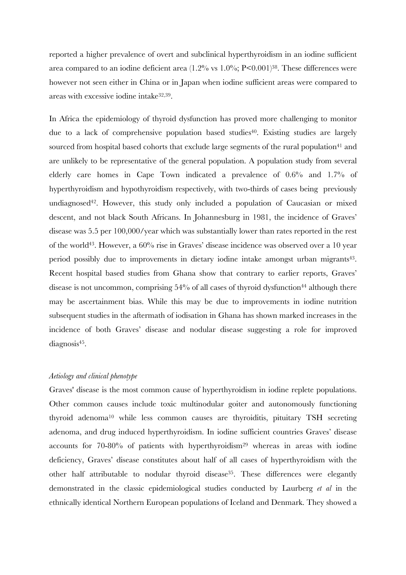reported a higher prevalence of overt and subclinical hyperthyroidism in an iodine sufficient area compared to an iodine deficient area (1.2% vs 1.0%; P<0.001)<sup>38</sup>. These differences were however not seen either in China or in Japan when iodine sufficient areas were compared to areas with excessive iodine intake32,39 .

In Africa the epidemiology of thyroid dysfunction has proved more challenging to monitor due to a lack of comprehensive population based studies<sup>40</sup>. Existing studies are largely sourced from hospital based cohorts that exclude large segments of the rural population<sup>41</sup> and are unlikely to be representative of the general population. A population study from several elderly care homes in Cape Town indicated a prevalence of 0.6% and 1.7% of hyperthyroidism and hypothyroidism respectively, with two-thirds of cases being previously undiagnosed<sup>42</sup>. However, this study only included a population of Caucasian or mixed descent, and not black South Africans. In Johannesburg in 1981, the incidence of Graves' disease was 5.5 per 100,000/year which was substantially lower than rates reported in the rest of the world<sup>43</sup>. However, a 60% rise in Graves' disease incidence was observed over a 10 year period possibly due to improvements in dietary iodine intake amongst urban migrants<sup>43</sup>. Recent hospital based studies from Ghana show that contrary to earlier reports, Graves' disease is not uncommon, comprising  $54\%$  of all cases of thyroid dysfunction<sup>44</sup> although there may be ascertainment bias. While this may be due to improvements in iodine nutrition subsequent studies in the aftermath of iodisation in Ghana has shown marked increases in the incidence of both Graves' disease and nodular disease suggesting a role for improved diagnosis<sup>45</sup> .

#### *Aetiology and clinical phenotype*

Graves' disease is the most common cause of hyperthyroidism in iodine replete populations. Other common causes include toxic multinodular goiter and autonomously functioning thyroid adenoma<sup>10</sup> while less common causes are thyroiditis, pituitary TSH secreting adenoma, and drug induced hyperthyroidism. In iodine sufficient countries Graves' disease accounts for  $70-80%$  of patients with hyperthyroidism<sup>29</sup> whereas in areas with iodine deficiency, Graves' disease constitutes about half of all cases of hyperthyroidism with the other half attributable to nodular thyroid disease<sup>35</sup>. These differences were elegantly demonstrated in the classic epidemiological studies conducted by Laurberg *et al* in the ethnically identical Northern European populations of Iceland and Denmark. They showed a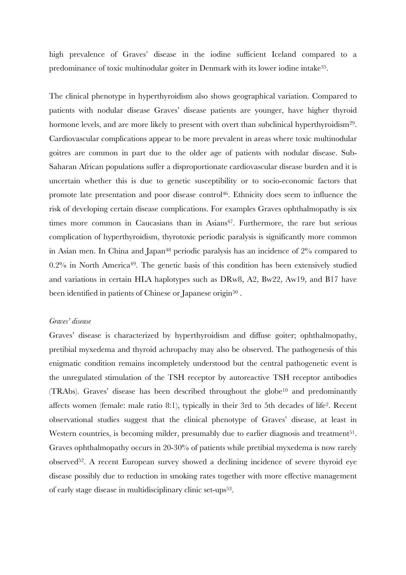high prevalence of Graves' disease in the iodine sufficient Iceland compared to a predominance of toxic multinodular goiter in Denmark with its lower iodine intake<sup>35</sup>.

The clinical phenotype in hyperthyroidism also shows geographical variation. Compared to patients with nodular disease Graves' disease patients are younger, have higher thyroid hormone levels, and are more likely to present with overt than subclinical hyperthyroidism<sup>29</sup>. Cardiovascular complications appear to be more prevalent in areas where toxic multinodular goitres are common in part due to the older age of patients with nodular disease. Sub-Saharan African populations suffer a disproportionate cardiovascular disease burden and it is uncertain whether this is due to genetic susceptibility or to socio-economic factors that promote late presentation and poor disease control<sup>46</sup>. Ethnicity does seem to influence the risk of developing certain disease complications. For examples Graves ophthalmopathy is six times more common in Caucasians than in Asians<sup>47</sup>. Furthermore, the rare but serious complication of hyperthyroidism, thyrotoxic periodic paralysis is significantly more common in Asian men. In China and Japan<sup>48</sup> periodic paralysis has an incidence of  $2\%$  compared to  $0.2\%$  in North America<sup>49</sup>. The genetic basis of this condition has been extensively studied and variations in certain HLA haplotypes such as DRw8, A2, Bw22, Aw19, and B17 have been identified in patients of Chinese or Japanese origin $50$  .

#### *Graves' disease*

Graves' disease is characterized by hyperthyroidism and diffuse goiter; ophthalmopathy, pretibial myxedema and thyroid achropachy may also be observed. The pathogenesis of this enigmatic condition remains incompletely understood but the central pathogenetic event is the unregulated stimulation of the TSH receptor by autoreactive TSH receptor antibodies  $(TRAbs)$ . Graves' disease has been described throughout the globe<sup>10</sup> and predominantly affects women (female: male ratio 8:1), typically in their 3rd to 5th decades of life<sup>2</sup> . Recent observational studies suggest that the clinical phenotype of Graves' disease, at least in Western countries, is becoming milder, presumably due to earlier diagnosis and treatment<sup>51</sup>. Graves ophthalmopathy occurs in 20-30% of patients while pretibial myxedema is now rarely observed<sup>52</sup>. A recent European survey showed a declining incidence of severe thyroid eye disease possibly due to reduction in smoking rates together with more effective management of early stage disease in multidisciplinary clinic set-ups<sup>53</sup>.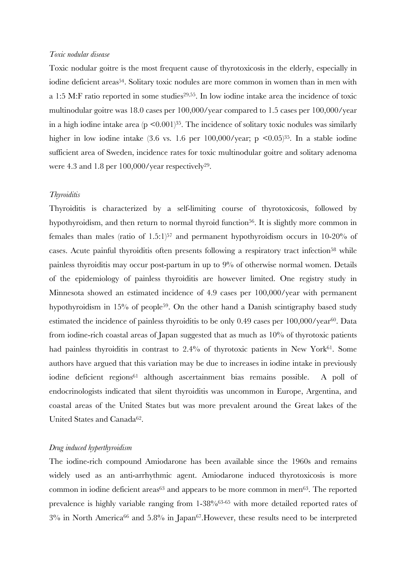#### *Toxic nodular disease*

Toxic nodular goitre is the most frequent cause of thyrotoxicosis in the elderly, especially in iodine deficient areas<sup>54</sup>. Solitary toxic nodules are more common in women than in men with a 1:5 M:F ratio reported in some studies<sup>29,55</sup>. In low iodine intake area the incidence of toxic multinodular goitre was 18.0 cases per 100,000/year compared to 1.5 cases per 100,000/year in a high iodine intake area ( $p \leq 0.001$ )<sup>35</sup>. The incidence of solitary toxic nodules was similarly higher in low iodine intake (3.6 vs. 1.6 per 100,000/year; p  $\leq 0.05$ )<sup>35</sup>. In a stable iodine sufficient area of Sweden, incidence rates for toxic multinodular goitre and solitary adenoma were  $4.3$  and  $1.8$  per  $100,000$ /year respectively<sup>29</sup>.

#### *Thyroiditis*

Thyroiditis is characterized by a self-limiting course of thyrotoxicosis, followed by hypothyroidism, and then return to normal thyroid function<sup>56</sup>. It is slightly more common in females than males (ratio of  $1.5:1$ )<sup>57</sup> and permanent hypothyroidism occurs in 10-20% of cases. Acute painful thyroiditis often presents following a respiratory tract infection<sup>58</sup> while painless thyroiditis may occur post-partum in up to 9% of otherwise normal women. Details of the epidemiology of painless thyroiditis are however limited. One registry study in Minnesota showed an estimated incidence of 4.9 cases per 100,000/year with permanent hypothyroidism in 15% of people<sup>59</sup>. On the other hand a Danish scintigraphy based study estimated the incidence of painless thyroiditis to be only 0.49 cases per 100,000/year<sup>60</sup>. Data from iodine-rich coastal areas of Japan suggested that as much as 10% of thyrotoxic patients had painless thyroiditis in contrast to 2.4% of thyrotoxic patients in New York<sup>61</sup>. Some authors have argued that this variation may be due to increases in iodine intake in previously iodine deficient regions<sup>61</sup> although ascertainment bias remains possible. A poll of endocrinologists indicated that silent thyroiditis was uncommon in Europe, Argentina, and coastal areas of the United States but was more prevalent around the Great lakes of the United States and Canada<sup>62</sup>.

#### *Drug induced hyperthyroidism*

The iodine-rich compound Amiodarone has been available since the 1960s and remains widely used as an anti-arrhythmic agent. Amiodarone induced thyrotoxicosis is more common in iodine deficient areas $63$  and appears to be more common in men $63$ . The reported prevalence is highly variable ranging from 1-38%63-65 with more detailed reported rates of 3% in North America66 and 5.8% in Japan67.However, these results need to be interpreted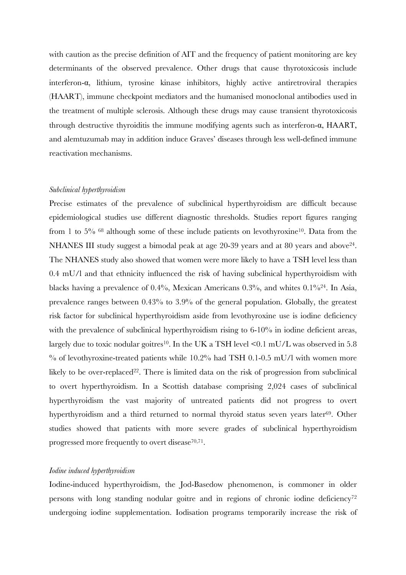with caution as the precise definition of AIT and the frequency of patient monitoring are key determinants of the observed prevalence. Other drugs that cause thyrotoxicosis include interferon-α, lithium, tyrosine kinase inhibitors, highly active antiretroviral therapies (HAART), immune checkpoint mediators and the humanised monoclonal antibodies used in the treatment of multiple sclerosis. Although these drugs may cause transient thyrotoxicosis through destructive thyroiditis the immune modifying agents such as interferon-α, HAART, and alemtuzumab may in addition induce Graves' diseases through less well-defined immune reactivation mechanisms.

#### *Subclinical hyperthyroidism*

Precise estimates of the prevalence of subclinical hyperthyroidism are difficult because epidemiological studies use different diagnostic thresholds. Studies report figures ranging from 1 to 5% <sup>68</sup> although some of these include patients on levothyroxine<sup>10</sup>. Data from the NHANES III study suggest a bimodal peak at age 20-39 years and at 80 years and above<sup>24</sup>. The NHANES study also showed that women were more likely to have a TSH level less than 0.4 mU/l and that ethnicity influenced the risk of having subclinical hyperthyroidism with blacks having a prevalence of 0.4%, Mexican Americans 0.3%, and whites 0.1%<sup>24</sup>. In Asia, prevalence ranges between 0.43% to 3.9% of the general population. Globally, the greatest risk factor for subclinical hyperthyroidism aside from levothyroxine use is iodine deficiency with the prevalence of subclinical hyperthyroidism rising to 6-10% in iodine deficient areas, largely due to toxic nodular goitres<sup>10</sup>. In the UK a TSH level  $\leq 0.1$  mU/L was observed in 5.8  $\%$  of levothyroxine-treated patients while 10.2% had TSH 0.1-0.5 mU/l with women more likely to be over-replaced<sup>22</sup>. There is limited data on the risk of progression from subclinical to overt hyperthyroidism. In a Scottish database comprising 2,024 cases of subclinical hyperthyroidism the vast majority of untreated patients did not progress to overt hyperthyroidism and a third returned to normal thyroid status seven years later<sup>69</sup>. Other studies showed that patients with more severe grades of subclinical hyperthyroidism progressed more frequently to overt disease<sup>70,71</sup>.

#### *Iodine induced hyperthyroidism*

Iodine-induced hyperthyroidism, the Jod-Basedow phenomenon, is commoner in older persons with long standing nodular goitre and in regions of chronic iodine deficiency<sup>72</sup> undergoing iodine supplementation. Iodisation programs temporarily increase the risk of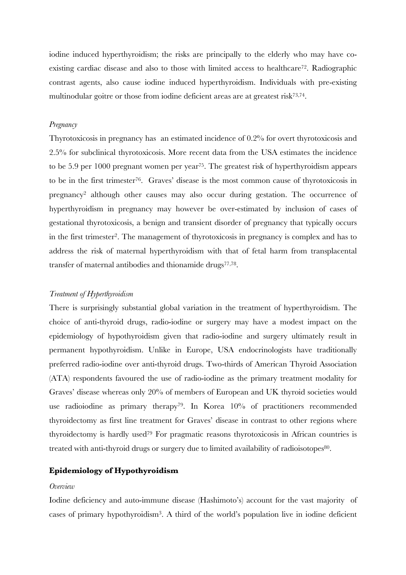iodine induced hyperthyroidism; the risks are principally to the elderly who may have coexisting cardiac disease and also to those with limited access to healthcare<sup>72</sup>. Radiographic contrast agents, also cause iodine induced hyperthyroidism. Individuals with pre-existing multinodular goitre or those from iodine deficient areas are at greatest risk73,74 .

#### *Pregnancy*

Thyrotoxicosis in pregnancy has an estimated incidence of 0.2% for overt thyrotoxicosis and 2.5% for subclinical thyrotoxicosis. More recent data from the USA estimates the incidence to be 5.9 per 1000 pregnant women per year<sup>75</sup>. The greatest risk of hyperthyroidism appears to be in the first trimester<sup>76</sup>. Graves' disease is the most common cause of thyrotoxicosis in pregnancy<sup>2</sup> although other causes may also occur during gestation. The occurrence of hyperthyroidism in pregnancy may however be over-estimated by inclusion of cases of gestational thyrotoxicosis, a benign and transient disorder of pregnancy that typically occurs in the first trimester<sup>2</sup>. The management of thyrotoxicosis in pregnancy is complex and has to address the risk of maternal hyperthyroidism with that of fetal harm from transplacental transfer of maternal antibodies and thionamide drugs<sup>77,78</sup>.

#### *Treatment of Hyperthyroidism*

There is surprisingly substantial global variation in the treatment of hyperthyroidism. The choice of anti-thyroid drugs, radio-iodine or surgery may have a modest impact on the epidemiology of hypothyroidism given that radio-iodine and surgery ultimately result in permanent hypothyroidism. Unlike in Europe, USA endocrinologists have traditionally preferred radio-iodine over anti-thyroid drugs. Two-thirds of American Thyroid Association (ATA) respondents favoured the use of radio-iodine as the primary treatment modality for Graves' disease whereas only 20% of members of European and UK thyroid societies would use radioiodine as primary therapy<sup>79</sup>. In Korea 10% of practitioners recommended thyroidectomy as first line treatment for Graves' disease in contrast to other regions where thyroidectomy is hardly used<sup>79</sup> For pragmatic reasons thyrotoxicosis in African countries is treated with anti-thyroid drugs or surgery due to limited availability of radioisotopes<sup>80</sup>.

## **Epidemiology of Hypothyroidism**

#### *Overview*

Iodine deficiency and auto-immune disease (Hashimoto's) account for the vast majority of cases of primary hypothyroidism<sup>3</sup> . A third of the world's population live in iodine deficient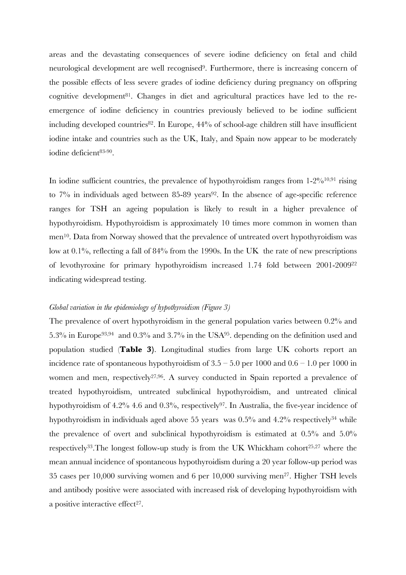areas and the devastating consequences of severe iodine deficiency on fetal and child neurological development are well recognised<sup>9</sup>. Furthermore, there is increasing concern of the possible effects of less severe grades of iodine deficiency during pregnancy on offspring cognitive development<sup>81</sup>. Changes in diet and agricultural practices have led to the reemergence of iodine deficiency in countries previously believed to be iodine sufficient including developed countries $82$ . In Europe,  $44\%$  of school-age children still have insufficient iodine intake and countries such as the UK, Italy, and Spain now appear to be moderately iodine deficient83-90 .

In iodine sufficient countries, the prevalence of hypothyroidism ranges from  $1-2\%^{10,91}$  rising to  $7\%$  in individuals aged between 85-89 years<sup>92</sup>. In the absence of age-specific reference ranges for TSH an ageing population is likely to result in a higher prevalence of hypothyroidism. Hypothyroidism is approximately 10 times more common in women than men<sup>10</sup>. Data from Norway showed that the prevalence of untreated overt hypothyroidism was low at 0.1%, reflecting a fall of 84% from the 1990s. In the UK the rate of new prescriptions of levothyroxine for primary hypothyroidism increased 1.74 fold between 2001-2009<sup>22</sup> indicating widespread testing.

#### *Global variation in the epidemiology of hypothyroidism (Figure 3)*

The prevalence of overt hypothyroidism in the general population varies between 0.2% and 5.3% in Europe<sup>93,94</sup> and 0.3% and 3.7% in the USA<sup>95</sup>. depending on the definition used and population studied (**Table 3)**. Longitudinal studies from large UK cohorts report an incidence rate of spontaneous hypothyroidism of  $3.5 - 5.0$  per  $1000$  and  $0.6 - 1.0$  per  $1000$  in women and men, respectively<sup>27,96</sup>. A survey conducted in Spain reported a prevalence of treated hypothyroidism, untreated subclinical hypothyroidism, and untreated clinical hypothyroidism of  $4.2\%$  4.6 and  $0.3\%$ , respectively<sup>97</sup>. In Australia, the five-year incidence of hypothyroidism in individuals aged above 55 years was 0.5% and 4.2% respectively<sup>34</sup> while the prevalence of overt and subclinical hypothyroidism is estimated at 0.5% and 5.0% respectively<sup>33</sup>. The longest follow-up study is from the UK Whickham cohort<sup>25,27</sup> where the mean annual incidence of spontaneous hypothyroidism during a 20 year follow-up period was 35 cases per 10,000 surviving women and 6 per 10,000 surviving men<sup>27</sup>. Higher TSH levels and antibody positive were associated with increased risk of developing hypothyroidism with a positive interactive effect<sup>27</sup>.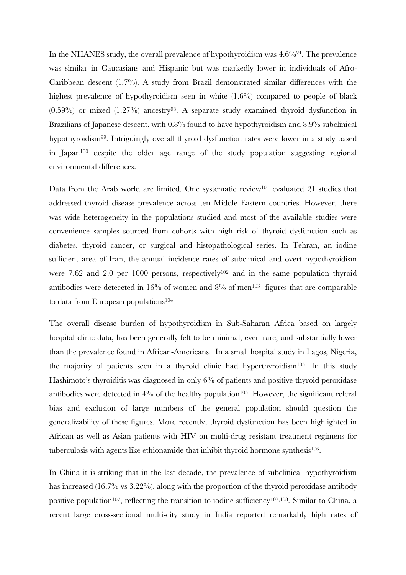In the NHANES study, the overall prevalence of hypothyroidism was  $4.6\%^{24}$ . The prevalence was similar in Caucasians and Hispanic but was markedly lower in individuals of Afro-Caribbean descent (1.7%). A study from Brazil demonstrated similar differences with the highest prevalence of hypothyroidism seen in white  $(1.6\%)$  compared to people of black  $(0.59\%)$  or mixed  $(1.27\%)$  ancestry<sup>98</sup>. A separate study examined thyroid dysfunction in Brazilians of Japanese descent, with 0.8% found to have hypothyroidism and 8.9% subclinical hypothyroidism<sup>99</sup>. Intriguingly overall thyroid dysfunction rates were lower in a study based in Japan<sup>100</sup> despite the older age range of the study population suggesting regional environmental differences.

Data from the Arab world are limited. One systematic review<sup>101</sup> evaluated 21 studies that addressed thyroid disease prevalence across ten Middle Eastern countries. However, there was wide heterogeneity in the populations studied and most of the available studies were convenience samples sourced from cohorts with high risk of thyroid dysfunction such as diabetes, thyroid cancer, or surgical and histopathological series. In Tehran, an iodine sufficient area of Iran, the annual incidence rates of subclinical and overt hypothyroidism were 7.62 and 2.0 per 1000 persons, respectively<sup>102</sup> and in the same population thyroid antibodies were deteceted in  $16\%$  of women and  $8\%$  of men<sup>103</sup> figures that are comparable to data from European populations<sup>104</sup>

The overall disease burden of hypothyroidism in Sub-Saharan Africa based on largely hospital clinic data, has been generally felt to be minimal, even rare, and substantially lower than the prevalence found in African-Americans. In a small hospital study in Lagos, Nigeria, the majority of patients seen in a thyroid clinic had hyperthyroidism<sup>105</sup>. In this study Hashimoto's thyroiditis was diagnosed in only 6% of patients and positive thyroid peroxidase antibodies were detected in  $4\%$  of the healthy population<sup>105</sup>. However, the significant referal bias and exclusion of large numbers of the general population should question the generalizability of these figures. More recently, thyroid dysfunction has been highlighted in African as well as Asian patients with HIV on multi-drug resistant treatment regimens for tuberculosis with agents like ethionamide that inhibit thyroid hormone synthesis<sup>106</sup>.

In China it is striking that in the last decade, the prevalence of subclinical hypothyroidism has increased (16.7% vs 3.22%), along with the proportion of the thyroid peroxidase antibody positive population<sup>107</sup>, reflecting the transition to iodine sufficiency<sup>107,108</sup>. Similar to China, a recent large cross-sectional multi-city study in India reported remarkably high rates of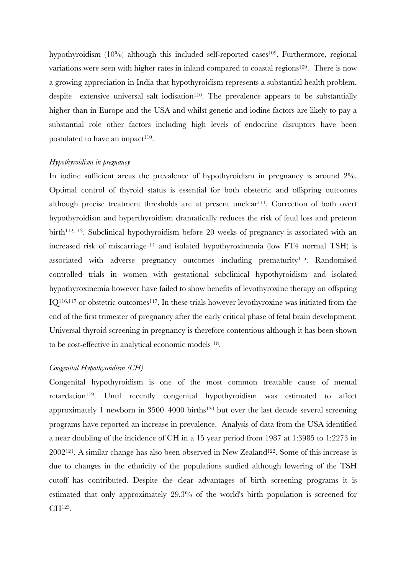hypothyroidism  $(10\%)$  although this included self-reported cases<sup>109</sup>. Furthermore, regional variations were seen with higher rates in inland compared to coastal regions<sup>109</sup>. There is now a growing appreciation in India that hypothyroidism represents a substantial health problem, despite extensive universal salt iodisation<sup>110</sup>. The prevalence appears to be substantially higher than in Europe and the USA and whilst genetic and iodine factors are likely to pay a substantial role other factors including high levels of endocrine disruptors have been postulated to have an impact<sup>110</sup>.

#### *Hypothyroidism in pregnancy*

In iodine sufficient areas the prevalence of hypothyroidism in pregnancy is around  $2\%$ . Optimal control of thyroid status is essential for both obstetric and offspring outcomes although precise treatment thresholds are at present unclear<sup>111</sup>. Correction of both overt hypothyroidism and hyperthyroidism dramatically reduces the risk of fetal loss and preterm birth<sup>112,113</sup>. Subclinical hypothyroidism before 20 weeks of pregnancy is associated with an increased risk of miscarriage<sup>114</sup> and isolated hypothyroxinemia (low FT4 normal TSH) is associated with adverse pregnancy outcomes including prematurity<sup>115</sup>. Randomised controlled trials in women with gestational subclinical hypothyroidism and isolated hypothyroxinemia however have failed to show benefits of levothyroxine therapy on offspring  $IO<sup>116,117</sup>$  or obstetric outcomes<sup>117</sup>. In these trials however levothyroxine was initiated from the end of the first trimester of pregnancy after the early critical phase of fetal brain development. Universal thyroid screening in pregnancy is therefore contentious although it has been shown to be cost-effective in analytical economic models<sup>118</sup>.

#### *Congenital Hypothyroidism (CH)*

Congenital hypothyroidism is one of the most common treatable cause of mental retardation<sup>119</sup>. Until recently congenital hypothyroidism was estimated to affect approximately 1 newborn in  $3500-4000$  births<sup>120</sup> but over the last decade several screening programs have reported an increase in prevalence. Analysis of data from the USA identified a near doubling of the incidence of CH in a 15 year period from 1987 at 1:3985 to 1:2273 in  $2002^{121}$ . A similar change has also been observed in New Zealand<sup>122</sup>. Some of this increase is due to changes in the ethnicity of the populations studied although lowering of the TSH cutoff has contributed. Despite the clear advantages of birth screening programs it is estimated that only approximately 29.3% of the world's birth population is screened for  $CH^{123}$ .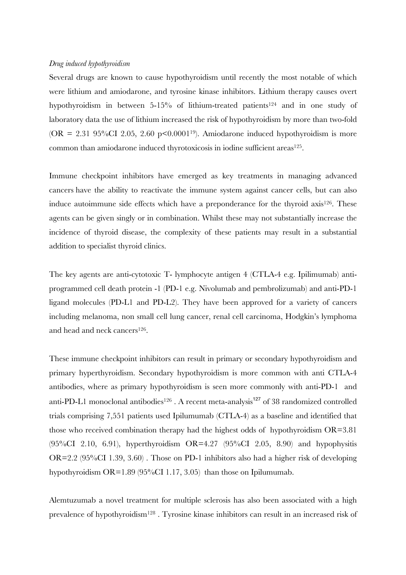#### *Drug induced hypothyroidism*

Several drugs are known to cause hypothyroidism until recently the most notable of which were lithium and amiodarone, and tyrosine kinase inhibitors. Lithium therapy causes overt hypothyroidism in between 5-15% of lithium-treated patients<sup>124</sup> and in one study of laboratory data the use of lithium increased the risk of hypothyroidism by more than two-fold (OR = 2.31 95%CI 2.05, 2.60 p $\leq 0.0001^{19}$ ). Amiodarone induced hypothyroidism is more common than amiodarone induced thyrotoxicosis in iodine sufficient areas<sup>125</sup>.

Immune checkpoint inhibitors have emerged as key treatments in managing advanced cancers have the ability to reactivate the immune system against cancer cells, but can also induce autoimmune side effects which have a preponderance for the thyroid axis<sup>126</sup>. These agents can be given singly or in combination. Whilst these may not substantially increase the incidence of thyroid disease, the complexity of these patients may result in a substantial addition to specialist thyroid clinics.

The key agents are anti-cytotoxic T- lymphocyte antigen 4 (CTLA-4 e.g. Ipilimumab) antiprogrammed cell death protein -1 (PD-1 e.g. Nivolumab and pembrolizumab) and anti-PD-1 ligand molecules (PD-L1 and PD-L2). They have been approved for a variety of cancers including melanoma, non small cell lung cancer, renal cell carcinoma, Hodgkin's lymphoma and head and neck cancers<sup>126</sup>.

These immune checkpoint inhibitors can result in primary or secondary hypothyroidism and primary hyperthyroidism. Secondary hypothyroidism is more common with anti CTLA-4 antibodies, where as primary hypothyroidism is seen more commonly with anti-PD-1 and anti-PD-L1 monoclonal antibodies<sup>126</sup>. A recent meta-analysis<sup>127</sup> of 38 randomized controlled trials comprising 7,551 patients used Ipilumumab (CTLA-4) as a baseline and identified that those who received combination therapy had the highest odds of hypothyroidism OR=3.81 (95%CI 2.10, 6.91), hyperthyroidism OR=4.27 (95%CI 2.05, 8.90) and hypophysitis OR=2.2 (95%CI 1.39, 3.60) . Those on PD-1 inhibitors also had a higher risk of developing hypothyroidism OR=1.89 (95%CI 1.17, 3.05) than those on Ipilumumab.

Alemtuzumab a novel treatment for multiple sclerosis has also been associated with a high prevalence of hypothyroidism128 . Tyrosine kinase inhibitors can result in an increased risk of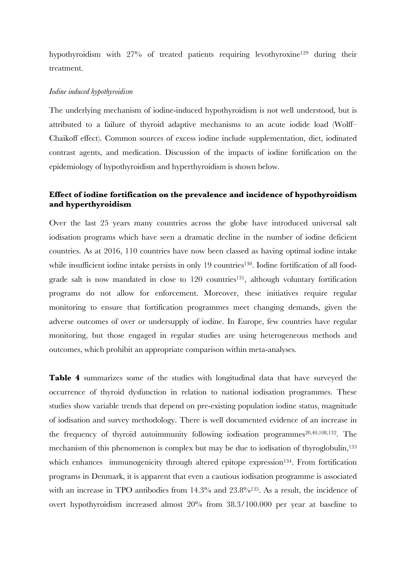hypothyroidism with 27% of treated patients requiring levothyroxine<sup>129</sup> during their treatment.

#### *Iodine induced hypothyroidism*

The underlying mechanism of iodine-induced hypothyroidism is not well understood, but is attributed to a failure of thyroid adaptive mechanisms to an acute iodide load (Wolff– Chaikoff effect). Common sources of excess iodine include supplementation, diet, iodinated contrast agents, and medication. Discussion of the impacts of iodine fortification on the epidemiology of hypothyroidism and hyperthyroidism is shown below.

# **Effect of iodine fortification on the prevalence and incidence of hypothyroidism and hyperthyroidism**

Over the last 25 years many countries across the globe have introduced universal salt iodisation programs which have seen a dramatic decline in the number of iodine deficient countries. As at 2016, 110 countries have now been classed as having optimal iodine intake while insufficient iodine intake persists in only 19 countries<sup>130</sup>. Iodine fortification of all foodgrade salt is now mandated in close to  $120$  countries<sup>131</sup>, although voluntary fortification programs do not allow for enforcement. Moreover, these initiatives require regular monitoring to ensure that fortification programmes meet changing demands, given the adverse outcomes of over or undersupply of iodine. In Europe, few countries have regular monitoring, but those engaged in regular studies are using heterogeneous methods and outcomes, which prohibit an appropriate comparison within meta-analyses.

**Table 4** summarizes some of the studies with longitudinal data that have surveyed the occurrence of thyroid dysfunction in relation to national iodisation programmes. These studies show variable trends that depend on pre-existing population iodine status, magnitude of iodisation and survey methodology. There is well documented evidence of an increase in the frequency of thyroid autoimmunity following iodisation programmes<sup>20,40,108,132</sup>. The mechanism of this phenomenon is complex but may be due to iodisation of thyroglobulin,<sup>133</sup> which enhances immunogenicity through altered epitope expression<sup>134</sup>. From fortification programs in Denmark, it is apparent that even a cautious iodisation programme is associated with an increase in TPO antibodies from 14.3% and 23.8%<sup>135</sup>. As a result, the incidence of overt hypothyroidism increased almost 20% from 38.3/100.000 per year at baseline to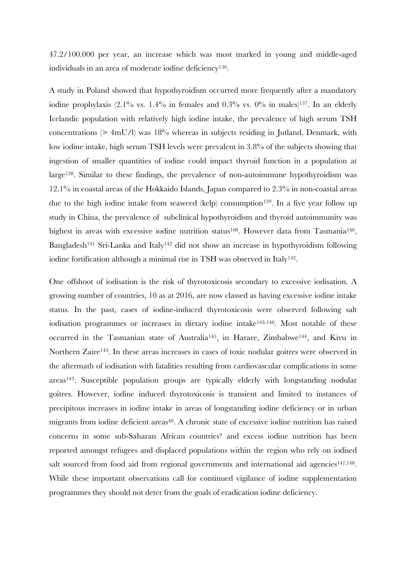47.2/100.000 per year, an increase which was most marked in young and middle-aged individuals in an area of moderate iodine deficiency<sup>136</sup>.

A study in Poland showed that hypothyroidism occurred more frequently after a mandatory iodine prophylaxis  $(2.1\%$  vs.  $1.4\%$  in females and  $0.3\%$  vs.  $0\%$  in males)<sup>137</sup>. In an elderly Icelandic population with relatively high iodine intake, the prevalence of high serum TSH concentrations (> 4mU/l) was 18% whereas in subjects residing in Jutland, Denmark, with low iodine intake, high serum TSH levels were prevalent in 3.8% of the subjects showing that ingestion of smaller quantities of iodine could impact thyroid function in a population at large<sup>138</sup>. Similar to these findings, the prevalence of non-autoimmune hypothyroidism was 12.1% in coastal areas of the Hokkaido Islands, Japan compared to 2.3% in non-coastal areas due to the high iodine intake from seaweed (kelp) consumption<sup>139</sup>. In a five year follow up study in China, the prevalence of subclinical hypothyroidism and thyroid autoimmunity was highest in areas with excessive iodine nutrition status<sup>108</sup>. However data from Tasmania<sup>140</sup>, Bangladesh<sup>141</sup> Sri-Lanka and Italy<sup>142</sup> did not show an increase in hypothyroidism following iodine fortification although a minimal rise in TSH was observed in Italy<sup>142</sup>.

One offshoot of iodisation is the risk of thyrotoxicosis secondary to excessive iodisation. A growing number of countries, 10 as at 2016, are now classed as having excessive iodine intake status. In the past, cases of iodine-induced thyrotoxicosis were observed following salt iodisation programmes or increases in dietary iodine intake<sup>143-146</sup>. Most notable of these occurred in the Tasmanian state of Australia<sup>145</sup>, in Harare, Zimbabwe<sup>144</sup>, and Kivu in Northern Zaire<sup>143</sup>. In these areas increases in cases of toxic nodular goitres were observed in the aftermath of iodisation with fatalities resulting from cardiovascular complications in some  $areas<sup>143</sup>$ . Susceptible population groups are typically elderly with longstanding nodular goitres. However, iodine induced thyrotoxicosis is transient and limited to instances of precipitous increases in iodine intake in areas of longstanding iodine deficiency or in urban migrants from iodine deficient areas<sup>40</sup>. A chronic state of excessive iodine nutrition has raised concerns in some sub-Saharan African countries<sup>9</sup> and excess iodine nutrition has been reported amongst refugees and displaced populations within the region who rely on iodised salt sourced from food aid from regional governments and international aid agencies<sup>147,148</sup>. While these important observations call for continued vigilance of iodine supplementation programmes they should not deter from the goals of eradication iodine deficiency.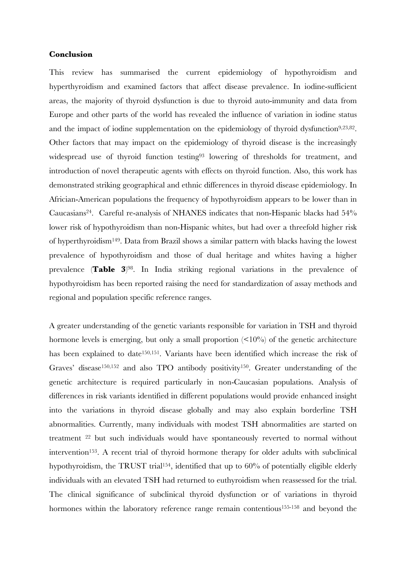#### **Conclusion**

This review has summarised the current epidemiology of hypothyroidism and hyperthyroidism and examined factors that affect disease prevalence. In iodine-sufficient areas, the majority of thyroid dysfunction is due to thyroid auto-immunity and data from Europe and other parts of the world has revealed the influence of variation in iodine status and the impact of iodine supplementation on the epidemiology of thyroid dysfunction<sup>9,23,82</sup>. Other factors that may impact on the epidemiology of thyroid disease is the increasingly widespread use of thyroid function testing<sup>93</sup> lowering of thresholds for treatment, and introduction of novel therapeutic agents with effects on thyroid function. Also, this work has demonstrated striking geographical and ethnic differences in thyroid disease epidemiology. In Africian-American populations the frequency of hypothyroidism appears to be lower than in Caucasians<sup>24</sup>. Careful re-analysis of NHANES indicates that non-Hispanic blacks had 54% lower risk of hypothyroidism than non-Hispanic whites, but had over a threefold higher risk of hyperthyroidism<sup>149</sup>. Data from Brazil shows a similar pattern with blacks having the lowest prevalence of hypothyroidism and those of dual heritage and whites having a higher prevalence (**Table 3**) <sup>98</sup>. In India striking regional variations in the prevalence of hypothyroidism has been reported raising the need for standardization of assay methods and regional and population specific reference ranges.

A greater understanding of the genetic variants responsible for variation in TSH and thyroid hormone levels is emerging, but only a small proportion  $\langle 10\% \rangle$  of the genetic architecture has been explained to date<sup>150,151</sup>. Variants have been identified which increase the risk of Graves' disease<sup>150,152</sup> and also TPO antibody positivity<sup>150</sup>. Greater understanding of the genetic architecture is required particularly in non-Caucasian populations. Analysis of differences in risk variants identified in different populations would provide enhanced insight into the variations in thyroid disease globally and may also explain borderline TSH abnormalities. Currently, many individuals with modest TSH abnormalities are started on treatment <sup>22</sup> but such individuals would have spontaneously reverted to normal without intervention<sup>153</sup>. A recent trial of thyroid hormone therapy for older adults with subclinical hypothyroidism, the TRUST trial<sup>154</sup>, identified that up to 60% of potentially eligible elderly individuals with an elevated TSH had returned to euthyroidism when reassessed for the trial. The clinical significance of subclinical thyroid dysfunction or of variations in thyroid hormones within the laboratory reference range remain contentious<sup>155-158</sup> and beyond the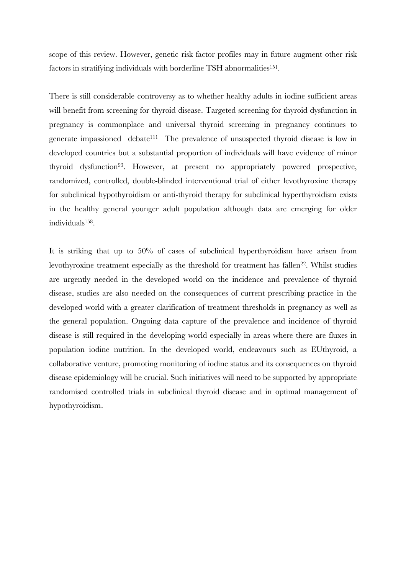scope of this review. However, genetic risk factor profiles may in future augment other risk factors in stratifying individuals with borderline TSH abnormalities<sup>151</sup>.

There is still considerable controversy as to whether healthy adults in iodine sufficient areas will benefit from screening for thyroid disease. Targeted screening for thyroid dysfunction in pregnancy is commonplace and universal thyroid screening in pregnancy continues to generate impassioned debate<sup>111</sup> The prevalence of unsuspected thyroid disease is low in developed countries but a substantial proportion of individuals will have evidence of minor thyroid dysfunction<sup>93</sup>. However, at present no appropriately powered prospective, randomized, controlled, double-blinded interventional trial of either levothyroxine therapy for subclinical hypothyroidism or anti-thyroid therapy for subclinical hyperthyroidism exists in the healthy general younger adult population although data are emerging for older individuals<sup>158</sup> .

It is striking that up to 50% of cases of subclinical hyperthyroidism have arisen from levothyroxine treatment especially as the threshold for treatment has fallen<sup>22</sup>. Whilst studies are urgently needed in the developed world on the incidence and prevalence of thyroid disease, studies are also needed on the consequences of current prescribing practice in the developed world with a greater clarification of treatment thresholds in pregnancy as well as the general population. Ongoing data capture of the prevalence and incidence of thyroid disease is still required in the developing world especially in areas where there are fluxes in population iodine nutrition. In the developed world, endeavours such as EUthyroid, a collaborative venture, promoting monitoring of iodine status and its consequences on thyroid disease epidemiology will be crucial. Such initiatives will need to be supported by appropriate randomised controlled trials in subclinical thyroid disease and in optimal management of hypothyroidism.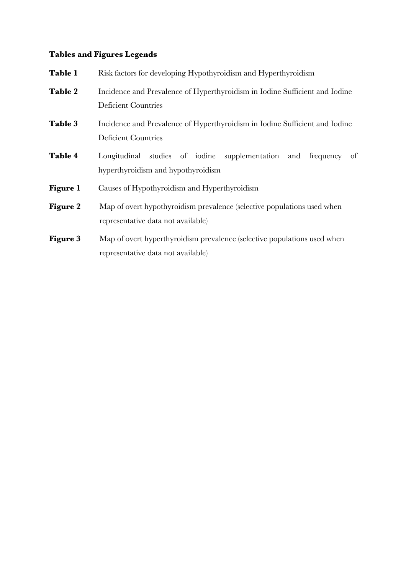# **Tables and Figures Legends**

| Table 1         | Risk factors for developing Hypothyroidism and Hyperthyroidism                                                 |  |  |  |  |  |  |  |  |  |
|-----------------|----------------------------------------------------------------------------------------------------------------|--|--|--|--|--|--|--|--|--|
| Table 2         | Incidence and Prevalence of Hyperthyroidism in Iodine Sufficient and Iodine<br><b>Deficient Countries</b>      |  |  |  |  |  |  |  |  |  |
| Table 3         | Incidence and Prevalence of Hyperthyroidism in Iodine Sufficient and Iodine<br><b>Deficient Countries</b>      |  |  |  |  |  |  |  |  |  |
| Table 4         | Longitudinal studies of iodine supplementation and frequency<br>of<br>hyperthyroidism and hypothyroidism       |  |  |  |  |  |  |  |  |  |
| <b>Figure 1</b> | Causes of Hypothyroidism and Hyperthyroidism                                                                   |  |  |  |  |  |  |  |  |  |
| <b>Figure 2</b> | Map of overt hypothyroidism prevalence (selective populations used when<br>representative data not available)  |  |  |  |  |  |  |  |  |  |
| <b>Figure 3</b> | Map of overt hyperthyroidism prevalence (selective populations used when<br>representative data not available) |  |  |  |  |  |  |  |  |  |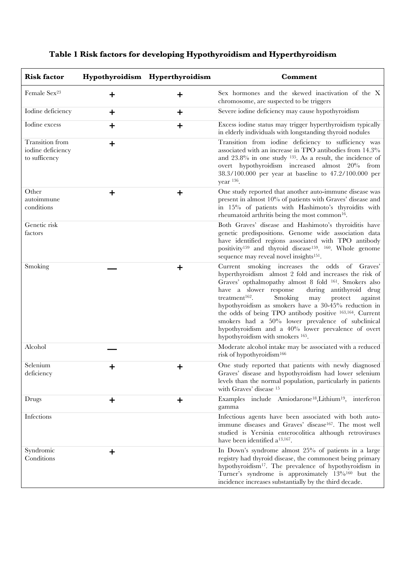| <b>Risk factor</b>                                    |             | Hypothyroidism Hyperthyroidism | Comment                                                                                                                                                                                                                                                                                                                                                                                                                                                                                                                                                                        |
|-------------------------------------------------------|-------------|--------------------------------|--------------------------------------------------------------------------------------------------------------------------------------------------------------------------------------------------------------------------------------------------------------------------------------------------------------------------------------------------------------------------------------------------------------------------------------------------------------------------------------------------------------------------------------------------------------------------------|
| Female Sex <sup>23</sup>                              | ┿           | ┿                              | Sex hormones and the skewed inactivation of the X<br>chromosome, are suspected to be triggers                                                                                                                                                                                                                                                                                                                                                                                                                                                                                  |
| Iodine deficiency                                     | $\mathbf +$ | $\ddot{}$                      | Severe iodine deficiency may cause hypothyroidism                                                                                                                                                                                                                                                                                                                                                                                                                                                                                                                              |
| Iodine excess                                         | $\ddot{}$   | $\ddot{}$                      | Excess iodine status may trigger hyperthyroidism typically<br>in elderly individuals with longstanding thyroid nodules                                                                                                                                                                                                                                                                                                                                                                                                                                                         |
| Transition from<br>iodine deficiency<br>to sufficency | $\ddot{}$   |                                | Transition from iodine deficiency to sufficiency was<br>associated with an increase in TPO antibodies from 14.3%<br>and $23.8\%$ in one study $135$ . As a result, the incidence of<br>overt hypothyroidism increased almost 20% from<br>38.3/100.000 per year at baseline to 47.2/100.000 per<br>year $^{136}$ .                                                                                                                                                                                                                                                              |
| Other<br>autoimmune<br>conditions                     | ┿           | $\ddot{}$                      | One study reported that another auto-immune disease was<br>present in almost 10% of patients with Graves' disease and<br>in 15% of patients with Hashimoto's thyroidits with<br>rheumatoid arthritis being the most common <sup>16</sup> .                                                                                                                                                                                                                                                                                                                                     |
| Genetic risk<br>factors                               |             |                                | Both Graves' disease and Hashimoto's thyroiditis have<br>genetic predispositions. Genome wide association data<br>have identified regions associated with TPO antibody<br>positivity <sup>159</sup> and thyroid disease <sup>159</sup> . <sup>160</sup> . Whole genome<br>sequence may reveal novel insights <sup>151</sup> .                                                                                                                                                                                                                                                  |
| Smoking                                               |             | $\mathbf +$                    | Current smoking increases the odds<br>of Graves'<br>hyperthyroidism almost 2 fold and increases the risk of<br>Graves' opthalmopathy almost 8 fold <sup>161</sup> . Smokers also<br>have a slower response<br>during antithyroid drug<br>treatment <sup>162</sup> .<br>Smoking<br>may<br>protect<br>against<br>hypothyroidism as smokers have a 30-45% reduction in<br>the odds of being TPO antibody positive 163,164. Current<br>smokers had a 50% lower prevalence of subclinical<br>hypothyroidism and a 40% lower prevalence of overt<br>hypothyroidism with smokers 165. |
| Alcohol                                               |             |                                | Moderate alcohol intake may be associated with a reduced<br>risk of hypothyroidism <sup>166</sup>                                                                                                                                                                                                                                                                                                                                                                                                                                                                              |
| Selenium<br>deficiency                                |             | ┿                              | One study reported that patients with newly diagnosed<br>Graves' disease and hypothyroidism had lower selenium<br>levels than the normal population, particularly in patients<br>with Graves' disease 15                                                                                                                                                                                                                                                                                                                                                                       |
| Drugs                                                 | $\ddot{}$   | $\ddot{}$                      | Examples include Amiodarone <sup>18</sup> , Lithium <sup>19</sup> , interferon<br>gamma                                                                                                                                                                                                                                                                                                                                                                                                                                                                                        |
| Infections                                            |             |                                | Infectious agents have been associated with both auto-<br>immune diseases and Graves' disease <sup>167</sup> . The most well<br>studied is Yersinia enterocolitica although retroviruses<br>have been identified a <sup>13,167</sup> .                                                                                                                                                                                                                                                                                                                                         |
| Syndromic<br>Conditions                               | $\mathbf +$ |                                | In Down's syndrome almost 25% of patients in a large<br>registry had thyroid disease, the commonest being primary<br>hypothyroidism <sup>17</sup> . The prevalence of hypothyroidism in<br>Turner's syndrome is approximately 13% <sup>160</sup> but the<br>incidence increases substantially by the third decade.                                                                                                                                                                                                                                                             |

# **Table 1 Risk factors for developing Hypothyroidism and Hyperthyroidism**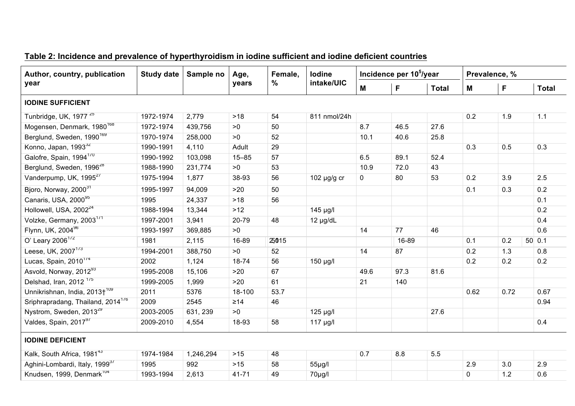| Author, country, publication                  | <b>Study date</b> | Sample no | Age,      | Female,<br>% | lodine           |      | Incidence per 10 <sup>5</sup> /year |              | Prevalence, % |      |              |  |
|-----------------------------------------------|-------------------|-----------|-----------|--------------|------------------|------|-------------------------------------|--------------|---------------|------|--------------|--|
| year                                          |                   |           | years     |              | intake/UIC       | M    | F                                   | <b>Total</b> | M             | F    | <b>Total</b> |  |
| <b>IODINE SUFFICIENT</b>                      |                   |           |           |              |                  |      |                                     |              |               |      |              |  |
| Tunbridge, UK, 1977 <sup>25</sup>             | 1972-1974         | 2,779     | $>18$     | 54           | 811 nmol/24h     |      |                                     |              | 0.2           | 1.9  | 1.1          |  |
| Mogensen, Denmark, 1980 <sup>168</sup>        | 1972-1974         | 439,756   | >0        | 50           |                  | 8.7  | 46.5                                | 27.6         |               |      |              |  |
| Berglund, Sweden, 1990 <sup>169</sup>         | 1970-1974         | 258,000   | >0        | 52           |                  | 10.1 | 40.6                                | 25.8         |               |      |              |  |
| Konno, Japan, 1993 <sup>32</sup>              | 1990-1991         | 4,110     | Adult     | 29           |                  |      |                                     |              | 0.3           | 0.5  | 0.3          |  |
| Galofre, Spain, 1994 <sup>170</sup>           | 1990-1992         | 103,098   | $15 - 85$ | 57           |                  | 6.5  | 89.1                                | 52.4         |               |      |              |  |
| Berglund, Sweden, 1996 <sup>28</sup>          | 1988-1990         | 231,774   | >0        | 53           |                  | 10.9 | 72.0                                | 43           |               |      |              |  |
| Vanderpump, UK, 1995 <sup>27</sup>            | 1975-1994         | 1,877     | 38-93     | 56           | 102 $\mu$ g/g cr | 0    | 80                                  | 53           | 0.2           | 3.9  | 2.5          |  |
| Bjoro, Norway, 2000 <sup>31</sup>             | 1995-1997         | 94,009    | >20       | 50           |                  |      |                                     |              | 0.1           | 0.3  | 0.2          |  |
| Canaris, USA, 200095                          | 1995              | 24,337    | $>18$     | 56           |                  |      |                                     |              |               |      | 0.1          |  |
| Hollowell, USA, 2002 <sup>24</sup>            | 1988-1994         | 13,344    | $>12$     |              | 145 µg/l         |      |                                     |              |               |      | 0.2          |  |
| Volzke, Germany, 2003 <sup>1/1</sup>          | 1997-2001         | 3,941     | 20-79     | 48           | $12 \mu g/dL$    |      |                                     |              |               |      | 0.4          |  |
| Flynn, UK, 200496                             | 1993-1997         | 369,885   | >0        |              |                  | 14   | 77                                  | 46           |               |      | 0.6          |  |
| O' Leary 2006 <sup>172</sup>                  | 1981              | 2,115     | 16-89     | 25015        |                  |      | 16-89                               |              | 0.1           | 0.2  | 50 0.1       |  |
| Leese, UK, 2007 <sup>173</sup>                | 1994-2001         | 388,750   | >0        | 52           |                  | 14   | 87                                  |              | 0.2           | 1.3  | 0.8          |  |
| Lucas, Spain, 2010 <sup>174</sup>             | 2002              | 1,124     | 18-74     | 56           | 150 µg/l         |      |                                     |              | 0.2           | 0.2  | 0.2          |  |
| Asvold, Norway, 2012 <sup>93</sup>            | 1995-2008         | 15,106    | >20       | 67           |                  | 49.6 | 97.3                                | 81.6         |               |      |              |  |
| Delshad, Iran, 2012 <sup>175</sup>            | 1999-2005         | 1,999     | $>20$     | 61           |                  | 21   | 140                                 |              |               |      |              |  |
| Unnikrishnan, India, 2013+ <sup>109</sup>     | 2011              | 5376      | 18-100    | 53.7         |                  |      |                                     |              | 0.62          | 0.72 | 0.67         |  |
| Sriphrapradang, Thailand, 2014 <sup>176</sup> | 2009              | 2545      | $\geq 14$ | 46           |                  |      |                                     |              |               |      | 0.94         |  |
| Nystrom, Sweden, 2013 <sup>29</sup>           | 2003-2005         | 631, 239  | >0        |              | 125 µg/l         |      |                                     | 27.6         |               |      |              |  |
| Valdes, Spain, 201797                         | 2009-2010         | 4,554     | 18-93     | 58           | $117$ µg/l       |      |                                     |              |               |      | 0.4          |  |
| <b>IODINE DEFICIENT</b>                       |                   |           |           |              |                  |      |                                     |              |               |      |              |  |
| Kalk, South Africa, 1981 <sup>43</sup>        | 1974-1984         | 1,246,294 | $>15$     | 48           |                  | 0.7  | 8.8                                 | 5.5          |               |      |              |  |
| Aghini-Lombardi, Italy, 1999 <sup>37</sup>    | 1995              | 992       | $>15$     | 58           | $55\mu$ g/l      |      |                                     |              | 2.9           | 3.0  | 2.9          |  |
| Knudsen, 1999, Denmark <sup>104</sup>         | 1993-1994         | 2,613     | $41 - 71$ | 49           | 70µg/l           |      |                                     |              | $\pmb{0}$     | 1.2  | 0.6          |  |

# **Table 2: Incidence and prevalence of hyperthyroidism in iodine sufficient and iodine deficient countries**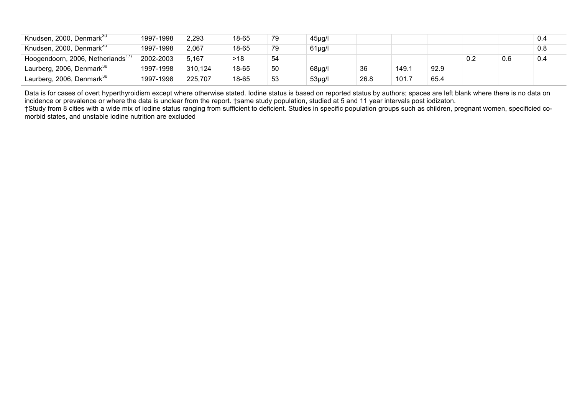| Knudsen, 2000, Denmark <sup>30</sup>          | 1997-1998 | 2,293   | 18-65 | 79 | $45\mug/l$  |      |       |      |     |     | 0.4 |
|-----------------------------------------------|-----------|---------|-------|----|-------------|------|-------|------|-----|-----|-----|
| Knudsen, 2000, Denmark <sup>30</sup>          | 1997-1998 | 2,067   | 18-65 | 79 | $61\mu g/l$ |      |       |      |     |     | 0.8 |
| Hoogendoorn, 2006, Netherlands <sup>177</sup> | 2002-2003 | 5,167   | >18   | 54 |             |      |       |      | 0.2 | 0.6 | 0.4 |
| Laurberg, 2006, Denmark <sup>36</sup>         | 1997-1998 | 310,124 | 18-65 | 50 | 68µg/l      | 36   | 149.1 | 92.9 |     |     |     |
| Laurberg, 2006, Denmark <sup>36</sup>         | 1997-1998 | 225,707 | 18-65 | 53 | $53\mu$ g/l | 26.8 | 101.7 | 65.4 |     |     |     |

Data is for cases of overt hyperthyroidism except where otherwise stated. Iodine status is based on reported status by authors; spaces are left blank where there is no data on incidence or prevalence or where the data is unclear from the report. †same study population, studied at 5 and 11 year intervals post iodizaton. †Study from 8 cities with a wide mix of iodine status ranging from sufficient to deficient. Studies in specific population groups such as children, pregnant women, specificied co-

morbid states, and unstable iodine nutrition are excluded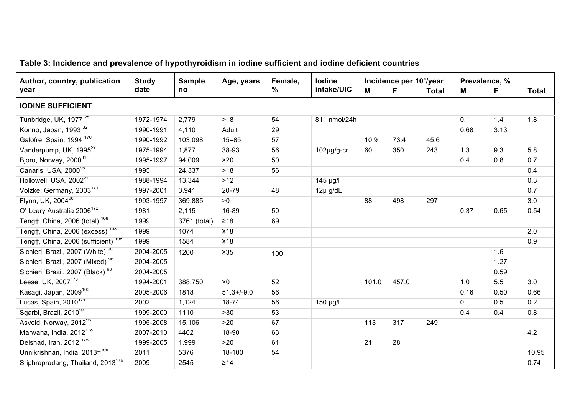| Author, country, publication                   | <b>Study</b> | <b>Sample</b> | Age, years      | Female,<br>$\%$ | <b>lodine</b><br>intake/UIC | Incidence per 10 <sup>5</sup> /year |       |              | Prevalence, % |      |              |
|------------------------------------------------|--------------|---------------|-----------------|-----------------|-----------------------------|-------------------------------------|-------|--------------|---------------|------|--------------|
| year                                           | date         | no            |                 |                 |                             | M                                   | F     | <b>Total</b> | M             | F    | <b>Total</b> |
| <b>IODINE SUFFICIENT</b>                       |              |               |                 |                 |                             |                                     |       |              |               |      |              |
| Tunbridge, UK, 1977 <sup>25</sup>              | 1972-1974    | 2,779         | >18             | 54              | 811 nmol/24h                |                                     |       |              | 0.1           | 1.4  | 1.8          |
| Konno, Japan, 1993 <sup>32</sup>               | 1990-1991    | 4,110         | Adult           | 29              |                             |                                     |       |              | 0.68          | 3.13 |              |
| Galofre, Spain, 1994 <sup>170</sup>            | 1990-1992    | 103,098       | $15 - 85$       | 57              |                             | 10.9                                | 73.4  | 45.6         |               |      |              |
| Vanderpump, UK, 1995 <sup>27</sup>             | 1975-1994    | 1,877         | 38-93           | 56              | 102µg/g-cr                  | 60                                  | 350   | 243          | 1.3           | 9.3  | 5.8          |
| Bjoro, Norway, 2000 <sup>31</sup>              | 1995-1997    | 94,009        | >20             | 50              |                             |                                     |       |              | 0.4           | 0.8  | 0.7          |
| Canaris, USA, 200095                           | 1995         | 24,337        | $>18$           | 56              |                             |                                     |       |              |               |      | 0.4          |
| Hollowell, USA, 2002 <sup>24</sup>             | 1988-1994    | 13,344        | $>12$           |                 | 145 µg/l                    |                                     |       |              |               |      | 0.3          |
| Volzke, Germany, 2003 <sup>171</sup>           | 1997-2001    | 3,941         | 20-79           | 48              | $12\mu$ g/dL                |                                     |       |              |               |      | 0.7          |
| Flynn, UK, 200496                              | 1993-1997    | 369,885       | >0              |                 |                             | 88                                  | 498   | 297          |               |      | 3.0          |
| O' Leary Australia 2006 <sup>172</sup>         | 1981         | 2,115         | 16-89           | 50              |                             |                                     |       |              | 0.37          | 0.65 | 0.54         |
| Teng†, China, 2006 (total) <sup>108</sup>      | 1999         | 3761 (total)  | $\geq 18$       | 69              |                             |                                     |       |              |               |      |              |
| Teng†, China, 2006 (excess) <sup>108</sup>     | 1999         | 1074          | $\geq 18$       |                 |                             |                                     |       |              |               |      | 2.0          |
| Teng†, China, 2006 (sufficient) <sup>108</sup> | 1999         | 1584          | $\geq 18$       |                 |                             |                                     |       |              |               |      | 0.9          |
| Sichieri, Brazil, 2007 (White) <sup>98</sup>   | 2004-2005    | 1200          | $\geq 35$       | 100             |                             |                                     |       |              |               | 1.6  |              |
| Sichieri, Brazil, 2007 (Mixed) <sup>98</sup>   | 2004-2005    |               |                 |                 |                             |                                     |       |              |               | 1.27 |              |
| Sichieri, Brazil, 2007 (Black) <sup>98</sup>   | 2004-2005    |               |                 |                 |                             |                                     |       |              |               | 0.59 |              |
| Leese, UK, 2007 <sup>173</sup>                 | 1994-2001    | 388,750       | >0              | 52              |                             | 101.0                               | 457.0 |              | 1.0           | 5.5  | 3.0          |
| Kasagi, Japan, 2009 <sup>100</sup>             | 2005-2006    | 1818          | $51.3 + (-9.0)$ | 56              |                             |                                     |       |              | 0.16          | 0.50 | 0.66         |
| Lucas, Spain, 2010 <sup>174</sup>              | 2002         | 1,124         | 18-74           | 56              | 150 µg/l                    |                                     |       |              | 0             | 0.5  | 0.2          |
| Sgarbi, Brazil, 2010 <sup>99</sup>             | 1999-2000    | 1110          | $>30$           | 53              |                             |                                     |       |              | 0.4           | 0.4  | 0.8          |
| Asvold, Norway, 2012 <sup>93</sup>             | 1995-2008    | 15,106        | >20             | 67              |                             | 113                                 | 317   | 249          |               |      |              |
| Marwaha, India, 2012 <sup>178</sup>            | 2007-2010    | 4402          | 18-90           | 63              |                             |                                     |       |              |               |      | 4.2          |
| Delshad, Iran, 2012 <sup>1/5</sup>             | 1999-2005    | 1,999         | >20             | 61              |                             | 21                                  | 28    |              |               |      |              |
| Unnikrishnan, India, 2013+ <sup>109</sup>      | 2011         | 5376          | 18-100          | 54              |                             |                                     |       |              |               |      | 10.95        |
| Sriphrapradang, Thailand, 2013 <sup>1/6</sup>  | 2009         | 2545          | $\geq 14$       |                 |                             |                                     |       |              |               |      | 0.74         |

# **Table 3: Incidence and prevalence of hypothyroidism in iodine sufficient and iodine deficient countries**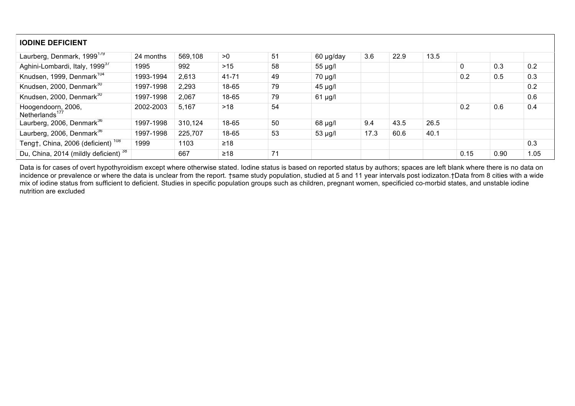| <b>IODINE DEFICIENT</b>                          |           |         |       |    |              |      |      |      |      |      |      |
|--------------------------------------------------|-----------|---------|-------|----|--------------|------|------|------|------|------|------|
| Laurberg, Denmark, 1999 <sup>179</sup>           | 24 months | 569,108 | >0    | 51 | 60 µg/day    | 3.6  | 22.9 | 13.5 |      |      |      |
| Aghini-Lombardi, Italy, 1999 <sup>37</sup>       | 1995      | 992     | >15   | 58 | $55 \mu g/l$ |      |      |      | 0    | 0.3  | 0.2  |
| Knudsen, 1999, Denmark <sup>104</sup>            | 1993-1994 | 2,613   | 41-71 | 49 | $70 \mu g/l$ |      |      |      | 0.2  | 0.5  | 0.3  |
| Knudsen, 2000, Denmark <sup>30</sup>             | 1997-1998 | 2,293   | 18-65 | 79 | $45 \mu g/l$ |      |      |      |      |      | 0.2  |
| Knudsen, 2000, Denmark <sup>30</sup>             | 1997-1998 | 2,067   | 18-65 | 79 | $61 \mu g/l$ |      |      |      |      |      | 0.6  |
| Hoogendoorn, 2006,<br>Netherlands <sup>177</sup> | 2002-2003 | 5,167   | >18   | 54 |              |      |      |      | 0.2  | 0.6  | 0.4  |
| Laurberg, 2006, Denmark <sup>36</sup>            | 1997-1998 | 310,124 | 18-65 | 50 | $68 \mu g/l$ | 9.4  | 43.5 | 26.5 |      |      |      |
| Laurberg, 2006, Denmark <sup>36</sup>            | 1997-1998 | 225,707 | 18-65 | 53 | $53 \mu g/l$ | 17.3 | 60.6 | 40.1 |      |      |      |
| Teng†, China, 2006 (deficient) <sup>108</sup>    | 1999      | 1103    | ≥18   |    |              |      |      |      |      |      | 0.3  |
| Du, China, 2014 (mildly deficient) 38            |           | 667     | $≥18$ | 71 |              |      |      |      | 0.15 | 0.90 | 1.05 |

Data is for cases of overt hypothyroidism except where otherwise stated. Iodine status is based on reported status by authors; spaces are left blank where there is no data on incidence or prevalence or where the data is unclear from the report. †same study population, studied at 5 and 11 year intervals post iodizaton.†Data from 8 cities with a wide mix of iodine status from sufficient to deficient. Studies in specific population groups such as children, pregnant women, specificied co-morbid states, and unstable iodine nutrition are excluded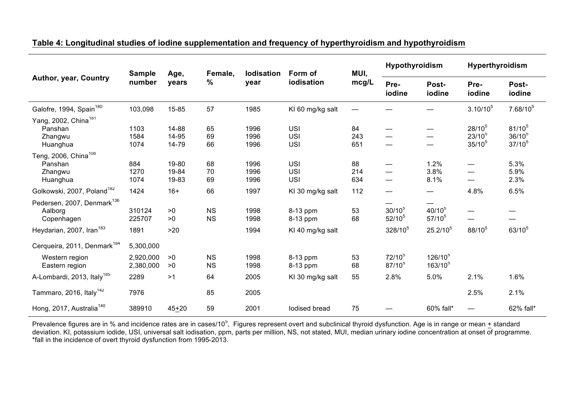|                                                                    | <b>Sample</b>          | Age,                    | Female,                | <b>lodisation</b>    | Form of                                | MUI,             | Hypothyroidism           |                               | <b>Hyperthyroidism</b>                                                                                                     |                                           |
|--------------------------------------------------------------------|------------------------|-------------------------|------------------------|----------------------|----------------------------------------|------------------|--------------------------|-------------------------------|----------------------------------------------------------------------------------------------------------------------------|-------------------------------------------|
| Author, year, Country                                              | number                 | years                   | $\%$                   | year                 | iodisation                             | mcg/L            | Pre-<br>iodine           | Post-<br>iodine               | Pre-<br>iodine<br>$3.10/10^{5}$<br>$28/10^{5}$<br>$23/10^{5}$<br>$35/10^{5}$<br>4.8%<br>88/10 <sup>5</sup><br>2.1%<br>2.5% | Post-<br>iodine                           |
| Galofre, 1994, Spain <sup>180</sup>                                | 103,098                | 15-85                   | 57                     | 1985                 | KI 60 mg/kg salt                       |                  |                          |                               |                                                                                                                            | $7.68/10^5$                               |
| Yang, 2002, China <sup>181</sup><br>Panshan<br>Zhangwu<br>Huanghua | 1103<br>1584<br>1074   | 14-88<br>14-95<br>14-79 | 65<br>69<br>66         | 1996<br>1996<br>1996 | <b>USI</b><br><b>USI</b><br><b>USI</b> | 84<br>243<br>651 | —                        |                               |                                                                                                                            | $81/10^{5}$<br>$36/10^{5}$<br>$37/10^{5}$ |
| Teng, 2006, China <sup>108</sup><br>Panshan<br>Zhangwu<br>Huanghua | 884<br>1270<br>1074    | 19-80<br>19-84<br>19-83 | 68<br>70<br>69         | 1996<br>1996<br>1996 | <b>USI</b><br><b>USI</b><br><b>USI</b> | 88<br>214<br>634 |                          | 1.2%<br>3.8%<br>8.1%          |                                                                                                                            | 5.3%<br>5.9%<br>2.3%                      |
| Golkowski, 2007, Poland <sup>182</sup>                             | 1424                   | $16+$                   | 66                     | 1997                 | KI 30 mg/kg salt                       | 112              | —                        | $\overbrace{\phantom{aaaaa}}$ |                                                                                                                            | 6.5%                                      |
| Pedersen, 2007, Denmark <sup>136</sup><br>Aalborg<br>Copenhagen    | 310124<br>225707       | >0<br>>0                | <b>NS</b><br><b>NS</b> | 1998<br>1998         | 8-13 ppm<br>8-13 ppm                   | 53<br>68         | $30/10^{5}$<br>$52/10^5$ | $40/10^{5}$<br>$57/10^5$      |                                                                                                                            |                                           |
| Heydarian, 2007, Iran <sup>183</sup>                               | 1891                   | >20                     |                        | 1994                 | KI 40 mg/kg salt                       |                  | 328/10 <sup>5</sup>      | $25.2/10^5$                   |                                                                                                                            | $63/10^{5}$                               |
| Cerqueira, 2011, Denmark <sup>184</sup>                            | 5,300,000              |                         |                        |                      |                                        |                  |                          |                               |                                                                                                                            |                                           |
| Western region<br>Eastern region                                   | 2,920,000<br>2,380,000 | >0<br>>0                | <b>NS</b><br><b>NS</b> | 1998<br>1998         | 8-13 ppm<br>8-13 ppm                   | 53<br>68         | $72/10^5$<br>$87/10^{5}$ | $126/10^{5}$<br>$163/10^{5}$  |                                                                                                                            |                                           |
| A-Lombardi, 2013, Italy <sup>185</sup>                             | 2289                   | >1                      | 64                     | 2005                 | KI 30 mg/kg salt                       | 55               | 2.8%                     | 5.0%                          |                                                                                                                            | 1.6%                                      |
| Tammaro, 2016, Italy <sup>142</sup>                                | 7976                   |                         | 85                     | 2005                 |                                        |                  |                          |                               |                                                                                                                            | 2.1%                                      |
| Hong, 2017, Australia <sup>140</sup>                               | 389910                 | $45 + 20$               | 59                     | 2001                 | lodised bread                          | 75               |                          | 60% fall*                     |                                                                                                                            | 62% fall*                                 |

# **Table 4: Longitudinal studies of iodine supplementation and frequency of hyperthyroidism and hypothyroidism**

Prevalence figures are in % and incidence rates are in cases/10<sup>5</sup>, Figures represent overt and subclinical thyroid dysfunction. Age is in range or mean + standard deviation. KI, potassium iodide, USI, universal salt iodisation, ppm, parts per million, NS, not stated, MUI, median urinary iodine concentration at onset of programme. \*fall in the incidence of overt thyroid dysfunction from 1995-2013.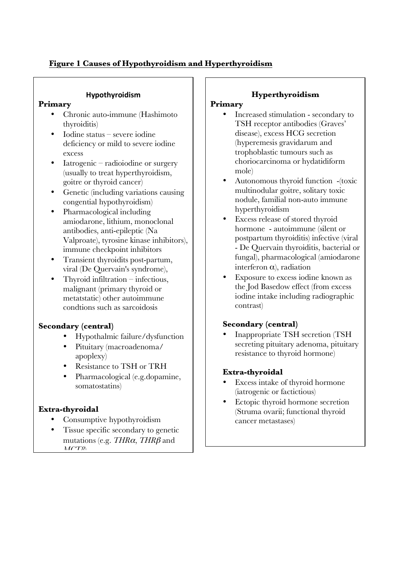# **Figure 1 Causes of Hypothyroidism and Hyperthyroidism**

## **Hypothyroidism**

# **Primary**

- Chronic auto-immune (Hashimoto thyroiditis)
- Iodine status severe iodine deficiency or mild to severe iodine excess
- Iatrogenic radioiodine or surgery (usually to treat hyperthyroidism, goitre or thyroid cancer)
- Genetic (including variations causing congential hypothyroidism)
- Pharmacological including amiodarone, lithium, monoclonal antibodies, anti-epileptic (Na Valproate), tyrosine kinase inhibitors), immune checkpoint inhibitors
- Transient thyroidits post-partum, viral (De Quervain's syndrome),
- Thyroid infiltration infectious, malignant (primary thyroid or metatstatic) other autoimmune condtions such as sarcoidosis

# **Secondary (central)**

- Hypothalmic failure/dysfunction
- Pituitary (macroadenoma/ apoplexy)
- Resistance to TSH or TRH
- Pharmacological (e.g.dopamine, somatostatins)

# **Extra-thyroidal**

- Consumptive hypothyroidism
- Tissue specific secondary to genetic mutations (e.g. *THR*α, *THR*β and  $MCT9$

# **Hyperthyroidism**

## **Primary**

- Increased stimulation secondary to TSH receptor antibodies (Graves' disease), excess HCG secretion (hyperemesis gravidarum and trophoblastic tumours such as choriocarcinoma or hydatidiform mole)
- Autonomous thyroid function -(toxic multinodular goitre, solitary toxic nodule, familial non-auto immune hyperthyroidism
- Excess release of stored thyroid hormone - autoimmune (silent or postpartum thyroiditis) infective (viral - De Quervain thyroiditis, bacterial or fungal), pharmacological (amiodarone interferon α), radiation
- Exposure to excess iodine known as the Jod Basedow effect (from excess iodine intake including radiographic contrast)

# **Secondary (central)**

• Inappropriate TSH secretion (TSH secreting pituitary adenoma, pituitary resistance to thyroid hormone)

# **Extra-thyroidal**

- Excess intake of thyroid hormone (iatrogenic or factictious)
- Ectopic thyroid hormone secretion (Struma ovarii; functional thyroid cancer metastases)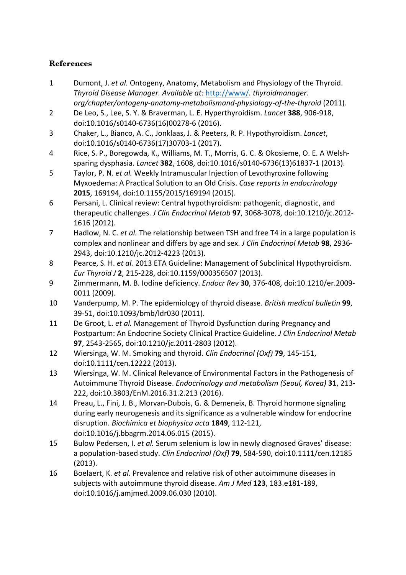# **References**

- 1 Dumont, J. et al. Ontogeny, Anatomy, Metabolism and Physiology of the Thyroid. *Thyroid Disease Manager. Available at: http://www/. thyroidmanager. org/chapter/ontogeny-anatomy-metabolismand-physiology-of-the-thyroid* (2011).
- 2 De Leo, S., Lee, S. Y. & Braverman, L. E. Hyperthyroidism. *Lancet* 388, 906-918, doi:10.1016/s0140-6736(16)00278-6 (2016).
- 3 Chaker, L., Bianco, A. C., Jonklaas, J. & Peeters, R. P. Hypothyroidism. *Lancet*, doi:10.1016/s0140-6736(17)30703-1 (2017).
- 4 Rice, S. P., Boregowda, K., Williams, M. T., Morris, G. C. & Okosieme, O. E. A Welshsparing dysphasia. *Lancet* **382**, 1608, doi:10.1016/s0140-6736(13)61837-1 (2013).
- 5 Taylor, P. N. et al. Weekly Intramuscular Injection of Levothyroxine following Myxoedema: A Practical Solution to an Old Crisis. *Case reports in endocrinology* 2015, 169194, doi:10.1155/2015/169194 (2015).
- 6 Persani, L. Clinical review: Central hypothyroidism: pathogenic, diagnostic, and therapeutic challenges. *J Clin Endocrinol Metab* 97, 3068-3078, doi:10.1210/jc.2012-1616 (2012).
- 7 Hadlow, N. C. *et al.* The relationship between TSH and free T4 in a large population is complex and nonlinear and differs by age and sex. *J Clin Endocrinol Metab* 98, 2936-2943, doi:10.1210/jc.2012-4223 (2013).
- 8 Pearce, S. H. et al. 2013 ETA Guideline: Management of Subclinical Hypothyroidism. *Eur Thyroid J* **2**, 215-228, doi:10.1159/000356507 (2013).
- 9 Zimmermann, M. B. Iodine deficiency. *Endocr Rev* **30**, 376-408, doi:10.1210/er.2009- 0011 (2009).
- 10 Vanderpump, M. P. The epidemiology of thyroid disease. *British medical bulletin* 99, 39-51, doi:10.1093/bmb/ldr030 (2011).
- 11 De Groot, L. *et al.* Management of Thyroid Dysfunction during Pregnancy and Postpartum: An Endocrine Society Clinical Practice Guideline. *J Clin Endocrinol Metab* **97**, 2543-2565, doi:10.1210/jc.2011-2803 (2012).
- 12 Wiersinga, W. M. Smoking and thyroid. *Clin Endocrinol (Oxf)* **79**, 145-151, doi:10.1111/cen.12222 (2013).
- 13 Wiersinga, W. M. Clinical Relevance of Environmental Factors in the Pathogenesis of Autoimmune Thyroid Disease. *Endocrinology and metabolism (Seoul, Korea)* 31, 213-222, doi:10.3803/EnM.2016.31.2.213 (2016).
- 14 Preau, L., Fini, J. B., Morvan-Dubois, G. & Demeneix, B. Thyroid hormone signaling during early neurogenesis and its significance as a vulnerable window for endocrine disruption. *Biochimica et biophysica acta* **1849**, 112-121, doi:10.1016/j.bbagrm.2014.06.015 (2015).
- 15 Bulow Pedersen, I. et al. Serum selenium is low in newly diagnosed Graves' disease: a population-based study. *Clin Endocrinol (Oxf)* **79**, 584-590, doi:10.1111/cen.12185 (2013).
- 16 Boelaert, K. et al. Prevalence and relative risk of other autoimmune diseases in subjects with autoimmune thyroid disease. Am J Med 123, 183.e181-189, doi:10.1016/j.amjmed.2009.06.030 (2010).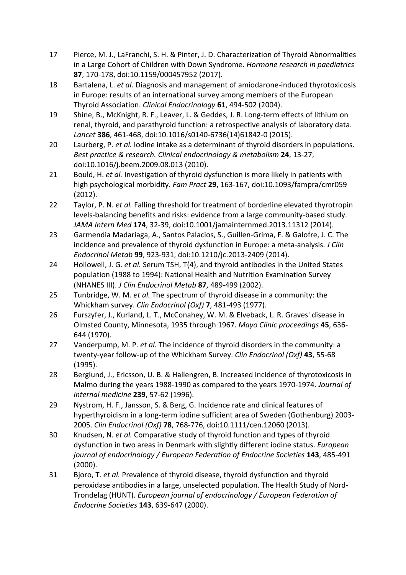- 17 Pierce, M. J., LaFranchi, S. H. & Pinter, J. D. Characterization of Thyroid Abnormalities in a Large Cohort of Children with Down Syndrome. Hormone research in paediatrics **87**, 170-178, doi:10.1159/000457952 (2017).
- 18 Bartalena, L. et al. Diagnosis and management of amiodarone-induced thyrotoxicosis in Europe: results of an international survey among members of the European Thyroid Association. *Clinical Endocrinology* **61**, 494-502 (2004).
- 19 Shine, B., McKnight, R. F., Leaver, L. & Geddes, J. R. Long-term effects of lithium on renal, thyroid, and parathyroid function: a retrospective analysis of laboratory data. Lancet 386, 461-468, doi:10.1016/s0140-6736(14)61842-0 (2015).
- 20 Laurberg, P. et al. Iodine intake as a determinant of thyroid disorders in populations. *Best practice & research. Clinical endocrinology & metabolism* **24**, 13-27, doi:10.1016/j.beem.2009.08.013 (2010).
- 21 Bould, H. et al. Investigation of thyroid dysfunction is more likely in patients with high psychological morbidity. *Fam Pract* 29, 163-167, doi:10.1093/fampra/cmr059 (2012).
- 22 Taylor, P. N. *et al.* Falling threshold for treatment of borderline elevated thyrotropin levels-balancing benefits and risks: evidence from a large community-based study. JAMA Intern Med 174, 32-39, doi:10.1001/jamainternmed.2013.11312 (2014).
- 23 Garmendia Madariaga, A., Santos Palacios, S., Guillen-Grima, F. & Galofre, J. C. The incidence and prevalence of thyroid dysfunction in Europe: a meta-analysis. *J Clin Endocrinol Metab* **99**, 923-931, doi:10.1210/jc.2013-2409 (2014).
- 24 Hollowell, J. G. et al. Serum TSH, T(4), and thyroid antibodies in the United States population (1988 to 1994): National Health and Nutrition Examination Survey (NHANES III). *J Clin Endocrinol Metab* **87**, 489-499 (2002).
- 25 Tunbridge, W. M. *et al.* The spectrum of thyroid disease in a community: the Whickham survey. *Clin Endocrinol* (Oxf) 7, 481-493 (1977).
- 26 Furszyfer, J., Kurland, L. T., McConahey, W. M. & Elveback, L. R. Graves' disease in Olmsted County, Minnesota, 1935 through 1967. Mayo Clinic proceedings 45, 636-644 (1970).
- 27 Vanderpump, M. P. et al. The incidence of thyroid disorders in the community: a twenty-year follow-up of the Whickham Survey. *Clin Endocrinol (Oxf)* 43, 55-68 (1995).
- 28 Berglund, J., Ericsson, U. B. & Hallengren, B. Increased incidence of thyrotoxicosis in Malmo during the years 1988-1990 as compared to the years 1970-1974. *Journal of internal medicine* **239**, 57-62 (1996).
- 29 Nystrom, H. F., Jansson, S. & Berg, G. Incidence rate and clinical features of hyperthyroidism in a long-term iodine sufficient area of Sweden (Gothenburg) 2003-2005. *Clin Endocrinol (Oxf)* **78**, 768-776, doi:10.1111/cen.12060 (2013).
- 30 Knudsen, N. *et al.* Comparative study of thyroid function and types of thyroid dysfunction in two areas in Denmark with slightly different iodine status. *European journal of endocrinology* / European Federation of Endocrine Societies 143, 485-491 (2000).
- 31 Bjoro, T. *et al.* Prevalence of thyroid disease, thyroid dysfunction and thyroid peroxidase antibodies in a large, unselected population. The Health Study of Nord-Trondelag (HUNT). *European journal of endocrinology / European Federation of Endocrine Societies* **143**, 639-647 (2000).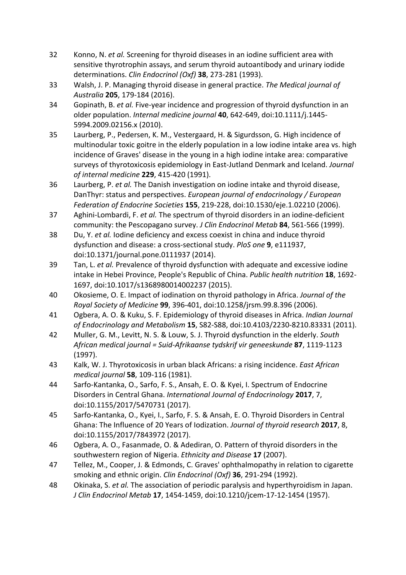- 32 Konno, N. *et al.* Screening for thyroid diseases in an iodine sufficient area with sensitive thyrotrophin assays, and serum thyroid autoantibody and urinary iodide determinations. *Clin Endocrinol (Oxf)* **38**, 273-281 (1993).
- 33 Walsh, J. P. Managing thyroid disease in general practice. The Medical journal of *Australia* **205**, 179-184 (2016).
- 34 Gopinath, B. *et al.* Five-year incidence and progression of thyroid dysfunction in an older population. Internal medicine journal **40**, 642-649, doi:10.1111/j.1445-5994.2009.02156.x (2010).
- 35 Laurberg, P., Pedersen, K. M., Vestergaard, H. & Sigurdsson, G. High incidence of multinodular toxic goitre in the elderly population in a low iodine intake area vs. high incidence of Graves' disease in the young in a high iodine intake area: comparative surveys of thyrotoxicosis epidemiology in East-Jutland Denmark and Iceland. *Journal of internal medicine* **229**, 415-420 (1991).
- 36 Laurberg, P. et al. The Danish investigation on iodine intake and thyroid disease, DanThyr: status and perspectives. *European journal of endocrinology* / *European Federation of Endocrine Societies* **155**, 219-228, doi:10.1530/eje.1.02210 (2006).
- 37 Aghini-Lombardi, F. et al. The spectrum of thyroid disorders in an iodine-deficient community: the Pescopagano survey. *J Clin Endocrinol Metab* 84, 561-566 (1999).
- 38 Du, Y. *et al.* Iodine deficiency and excess coexist in china and induce thyroid dysfunction and disease: a cross-sectional study. *PloS one* **9**, e111937, doi:10.1371/journal.pone.0111937 (2014).
- 39 Tan, L. *et al.* Prevalence of thyroid dysfunction with adequate and excessive iodine intake in Hebei Province, People's Republic of China. *Public health nutrition* 18, 1692-1697, doi:10.1017/s1368980014002237 (2015).
- 40 Okosieme, O. E. Impact of iodination on thyroid pathology in Africa. *Journal of the Royal Society of Medicine* **99**, 396-401, doi:10.1258/jrsm.99.8.396 (2006).
- 41 Ogbera, A. O. & Kuku, S. F. Epidemiology of thyroid diseases in Africa. *Indian Journal of Endocrinology and Metabolism* 15, S82-S88, doi:10.4103/2230-8210.83331 (2011).
- 42 Muller, G. M., Levitt, N. S. & Louw, S. J. Thyroid dysfunction in the elderly. *South African medical journal = Suid-Afrikaanse tydskrif vir geneeskunde* **87**, 1119-1123 (1997).
- 43 Kalk, W. J. Thyrotoxicosis in urban black Africans: a rising incidence. *East African medical journal* **58**, 109-116 (1981).
- 44 Sarfo-Kantanka, O., Sarfo, F. S., Ansah, E. O. & Kyei, I. Spectrum of Endocrine Disorders in Central Ghana. *International Journal of Endocrinology* 2017, 7, doi:10.1155/2017/5470731 (2017).
- 45 Sarfo-Kantanka, O., Kyei, I., Sarfo, F. S. & Ansah, E. O. Thyroid Disorders in Central Ghana: The Influence of 20 Years of Iodization. *Journal of thyroid research* 2017, 8, doi:10.1155/2017/7843972 (2017).
- 46 Ogbera, A. O., Fasanmade, O. & Adediran, O. Pattern of thyroid disorders in the southwestern region of Nigeria. *Ethnicity and Disease* 17 (2007).
- 47 Tellez, M., Cooper, J. & Edmonds, C. Graves' ophthalmopathy in relation to cigarette smoking and ethnic origin. *Clin Endocrinol (Oxf)* **36**, 291-294 (1992).
- 48 Okinaka, S. *et al.* The association of periodic paralysis and hyperthyroidism in Japan. *J* Clin Endocrinol Metab 17, 1454-1459, doi:10.1210/jcem-17-12-1454 (1957).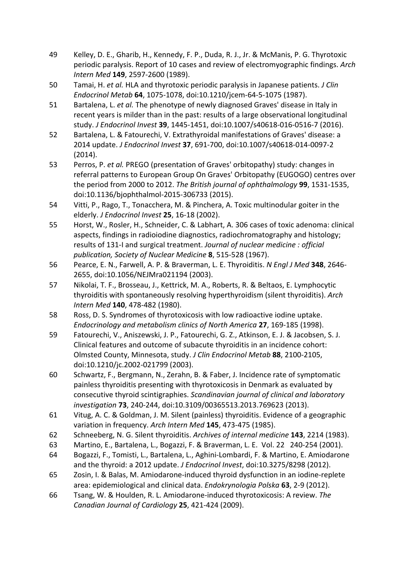- 49 Kelley, D. E., Gharib, H., Kennedy, F. P., Duda, R. J., Jr. & McManis, P. G. Thyrotoxic periodic paralysis. Report of 10 cases and review of electromyographic findings. Arch *Intern Med* **149**, 2597-2600 (1989).
- 50 Tamai, H. et al. HLA and thyrotoxic periodic paralysis in Japanese patients. *J Clin Endocrinol Metab* **64**, 1075-1078, doi:10.1210/jcem-64-5-1075 (1987).
- 51 Bartalena, L. *et al.* The phenotype of newly diagnosed Graves' disease in Italy in recent years is milder than in the past: results of a large observational longitudinal study. *J Endocrinol Invest* **39**, 1445-1451, doi:10.1007/s40618-016-0516-7 (2016).
- 52 Bartalena, L. & Fatourechi, V. Extrathyroidal manifestations of Graves' disease: a 2014 update. *J Endocrinol Invest* 37, 691-700, doi:10.1007/s40618-014-0097-2 (2014).
- 53 Perros, P. et al. PREGO (presentation of Graves' orbitopathy) study: changes in referral patterns to European Group On Graves' Orbitopathy (EUGOGO) centres over the period from 2000 to 2012. The British journal of ophthalmology **99**, 1531-1535, doi:10.1136/bjophthalmol-2015-306733 (2015).
- 54 Vitti, P., Rago, T., Tonacchera, M. & Pinchera, A. Toxic multinodular goiter in the elderly. *J Endocrinol Invest* **25**, 16-18 (2002).
- 55 Horst, W., Rosler, H., Schneider, C. & Labhart, A. 306 cases of toxic adenoma: clinical aspects, findings in radioiodine diagnostics, radiochromatography and histology; results of 131-I and surgical treatment. *Journal of nuclear medicine : official publication, Society of Nuclear Medicine* **8**, 515-528 (1967).
- 56 Pearce, E. N., Farwell, A. P. & Braverman, L. E. Thyroiditis. N Engl J Med 348, 2646-2655, doi:10.1056/NEJMra021194 (2003).
- 57 Nikolai, T. F., Brosseau, J., Kettrick, M. A., Roberts, R. & Beltaos, E. Lymphocytic thyroiditis with spontaneously resolving hyperthyroidism (silent thyroiditis). Arch *Intern Med* **140**, 478-482 (1980).
- 58 Ross, D. S. Syndromes of thyrotoxicosis with low radioactive iodine uptake. *Endocrinology and metabolism clinics of North America* 27, 169-185 (1998).
- 59 Fatourechi, V., Aniszewski, J. P., Fatourechi, G. Z., Atkinson, E. J. & Jacobsen, S. J. Clinical features and outcome of subacute thyroiditis in an incidence cohort: Olmsted County, Minnesota, study. *J Clin Endocrinol Metab* 88, 2100-2105, doi:10.1210/jc.2002-021799 (2003).
- 60 Schwartz, F., Bergmann, N., Zerahn, B. & Faber, J. Incidence rate of symptomatic painless thyroiditis presenting with thyrotoxicosis in Denmark as evaluated by consecutive thyroid scintigraphies. *Scandinavian journal of clinical and laboratory investigation* **73**, 240-244, doi:10.3109/00365513.2013.769623 (2013).
- 61 Vitug, A. C. & Goldman, J. M. Silent (painless) thyroiditis. Evidence of a geographic variation in frequency. Arch Intern Med 145, 473-475 (1985).
- 62 Schneeberg, N. G. Silent thyroiditis. Archives of internal medicine **143**, 2214 (1983).
- 63 Martino, E., Bartalena, L., Bogazzi, F. & Braverman, L. E. Vol. 22 240-254 (2001).
- 64 Bogazzi, F., Tomisti, L., Bartalena, L., Aghini-Lombardi, F. & Martino, E. Amiodarone and the thyroid: a 2012 update. *J Endocrinol Invest*, doi:10.3275/8298 (2012).
- 65 Zosin, I. & Balas, M. Amiodarone-induced thyroid dysfunction in an iodine-replete area: epidemiological and clinical data. *Endokrynologia Polska* 63, 2-9 (2012).
- 66 Tsang, W. & Houlden, R. L. Amiodarone-induced thyrotoxicosis: A review. *The Canadian Journal of Cardiology* **25**, 421-424 (2009).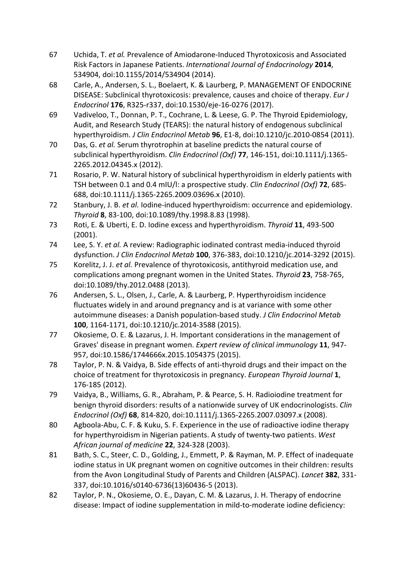- 67 Uchida, T. et al. Prevalence of Amiodarone-Induced Thyrotoxicosis and Associated Risk Factors in Japanese Patients. International Journal of Endocrinology 2014, 534904, doi:10.1155/2014/534904 (2014).
- 68 Carle, A., Andersen, S. L., Boelaert, K. & Laurberg, P. MANAGEMENT OF ENDOCRINE DISEASE: Subclinical thyrotoxicosis: prevalence, causes and choice of therapy. *Eur J Endocrinol* **176**, R325-r337, doi:10.1530/eje-16-0276 (2017).
- 69 Vadiveloo, T., Donnan, P. T., Cochrane, L. & Leese, G. P. The Thyroid Epidemiology, Audit, and Research Study (TEARS): the natural history of endogenous subclinical hyperthyroidism. *J Clin Endocrinol Metab* **96**, E1-8, doi:10.1210/jc.2010-0854 (2011).
- 70 Das, G. et al. Serum thyrotrophin at baseline predicts the natural course of subclinical hyperthyroidism. *Clin Endocrinol (Oxf)* 77, 146-151, doi:10.1111/j.1365-2265.2012.04345.x (2012).
- 71 Rosario, P. W. Natural history of subclinical hyperthyroidism in elderly patients with TSH between 0.1 and 0.4 mIU/l: a prospective study. *Clin Endocrinol (Oxf)* **72**, 685-688, doi:10.1111/j.1365-2265.2009.03696.x (2010).
- 72 Stanbury, J. B. *et al.* Iodine-induced hyperthyroidism: occurrence and epidemiology. *Thyroid* **8**, 83-100, doi:10.1089/thy.1998.8.83 (1998).
- 73 Roti, E. & Uberti, E. D. Iodine excess and hyperthyroidism. Thyroid 11, 493-500 (2001).
- 74 Lee, S. Y. et al. A review: Radiographic iodinated contrast media-induced thyroid dysfunction. *J Clin Endocrinol Metab* **100**, 376-383, doi:10.1210/jc.2014-3292 (2015).
- 75 Korelitz, J. J. et al. Prevalence of thyrotoxicosis, antithyroid medication use, and complications among pregnant women in the United States. *Thyroid* 23, 758-765, doi:10.1089/thy.2012.0488 (2013).
- 76 Andersen, S. L., Olsen, J., Carle, A. & Laurberg, P. Hyperthyroidism incidence fluctuates widely in and around pregnancy and is at variance with some other autoimmune diseases: a Danish population-based study. *J Clin Endocrinol Metab* 100, 1164-1171, doi:10.1210/jc.2014-3588 (2015).
- 77 Okosieme, O. E. & Lazarus, J. H. Important considerations in the management of Graves' disease in pregnant women. *Expert review of clinical immunology* 11, 947-957, doi:10.1586/1744666x.2015.1054375 (2015).
- 78 Taylor, P. N. & Vaidya, B. Side effects of anti-thyroid drugs and their impact on the choice of treatment for thyrotoxicosis in pregnancy. *European Thyroid Journal* 1, 176-185 (2012).
- 79 Vaidya, B., Williams, G. R., Abraham, P. & Pearce, S. H. Radioiodine treatment for benign thyroid disorders: results of a nationwide survey of UK endocrinologists. *Clin Endocrinol (Oxf)* **68**, 814-820, doi:10.1111/j.1365-2265.2007.03097.x (2008).
- 80 Agboola-Abu, C. F. & Kuku, S. F. Experience in the use of radioactive iodine therapy for hyperthyroidism in Nigerian patients. A study of twenty-two patients. West *African journal of medicine* **22**, 324-328 (2003).
- 81 Bath, S. C., Steer, C. D., Golding, J., Emmett, P. & Rayman, M. P. Effect of inadequate iodine status in UK pregnant women on cognitive outcomes in their children: results from the Avon Longitudinal Study of Parents and Children (ALSPAC). *Lancet* 382, 331-337, doi:10.1016/s0140-6736(13)60436-5 (2013).
- 82 Taylor, P. N., Okosieme, O. E., Dayan, C. M. & Lazarus, J. H. Therapy of endocrine disease: Impact of iodine supplementation in mild-to-moderate iodine deficiency: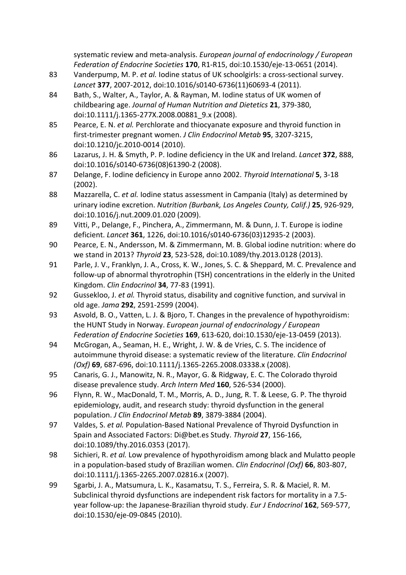systematic review and meta-analysis. *European journal of endocrinology / European Federation of Endocrine Societies* **170**, R1-R15, doi:10.1530/eje-13-0651 (2014).

- 83 Vanderpump, M. P. et al. lodine status of UK schoolgirls: a cross-sectional survey. Lancet 377, 2007-2012, doi:10.1016/s0140-6736(11)60693-4 (2011).
- 84 Bath, S., Walter, A., Taylor, A. & Rayman, M. Iodine status of UK women of childbearing age. *Journal of Human Nutrition and Dietetics* **21**, 379-380, doi:10.1111/j.1365-277X.2008.00881\_9.x (2008).
- 85 Pearce, E. N. *et al.* Perchlorate and thiocyanate exposure and thyroid function in first-trimester pregnant women. *J Clin Endocrinol Metab* 95, 3207-3215, doi:10.1210/jc.2010-0014 (2010).
- 86 Lazarus, J. H. & Smyth, P. P. Iodine deficiency in the UK and Ireland. *Lancet* 372, 888, doi:10.1016/s0140-6736(08)61390-2 (2008).
- 87 Delange, F. Iodine deficiency in Europe anno 2002. Thyroid International **5**, 3-18 (2002).
- 88 Mazzarella, C. et al. Iodine status assessment in Campania (Italy) as determined by urinary iodine excretion. *Nutrition (Burbank, Los Angeles County, Calif.)* 25, 926-929, doi:10.1016/j.nut.2009.01.020 (2009).
- 89 Vitti, P., Delange, F., Pinchera, A., Zimmermann, M. & Dunn, J. T. Europe is iodine deficient. *Lancet* **361**, 1226, doi:10.1016/s0140-6736(03)12935-2 (2003).
- 90 Pearce, E. N., Andersson, M. & Zimmermann, M. B. Global iodine nutrition: where do we stand in 2013? *Thyroid* 23, 523-528, doi:10.1089/thy.2013.0128 (2013).
- 91 Parle, J. V., Franklyn, J. A., Cross, K. W., Jones, S. C. & Sheppard, M. C. Prevalence and follow-up of abnormal thyrotrophin (TSH) concentrations in the elderly in the United Kingdom. *Clin Endocrinol* **34**, 77-83 (1991).
- 92 Gussekloo, J. et al. Thyroid status, disability and cognitive function, and survival in old age. *Jama* **292**, 2591-2599 (2004).
- 93 Asvold, B. O., Vatten, L. J. & Bjoro, T. Changes in the prevalence of hypothyroidism: the HUNT Study in Norway. *European journal of endocrinology / European Federation of Endocrine Societies* **169**, 613-620, doi:10.1530/eje-13-0459 (2013).
- 94 McGrogan, A., Seaman, H. E., Wright, J. W. & de Vries, C. S. The incidence of autoimmune thyroid disease: a systematic review of the literature. *Clin Endocrinol (Oxf)* **69**, 687-696, doi:10.1111/j.1365-2265.2008.03338.x (2008).
- 95 Canaris, G. J., Manowitz, N. R., Mayor, G. & Ridgway, E. C. The Colorado thyroid disease prevalence study. Arch Intern Med 160, 526-534 (2000).
- 96 Flynn, R. W., MacDonald, T. M., Morris, A. D., Jung, R. T. & Leese, G. P. The thyroid epidemiology, audit, and research study: thyroid dysfunction in the general population. *J Clin Endocrinol Metab* 89, 3879-3884 (2004).
- 97 Valdes, S. *et al.* Population-Based National Prevalence of Thyroid Dysfunction in Spain and Associated Factors: Di@bet.es Study. Thyroid 27, 156-166, doi:10.1089/thy.2016.0353 (2017).
- 98 Sichieri, R. *et al.* Low prevalence of hypothyroidism among black and Mulatto people in a population-based study of Brazilian women. *Clin Endocrinol (Oxf)* 66, 803-807, doi:10.1111/j.1365-2265.2007.02816.x (2007).
- 99 Sgarbi, J. A., Matsumura, L. K., Kasamatsu, T. S., Ferreira, S. R. & Maciel, R. M. Subclinical thyroid dysfunctions are independent risk factors for mortality in a 7.5year follow-up: the Japanese-Brazilian thyroid study. *Eur J Endocrinol* 162, 569-577, doi:10.1530/eje-09-0845 (2010).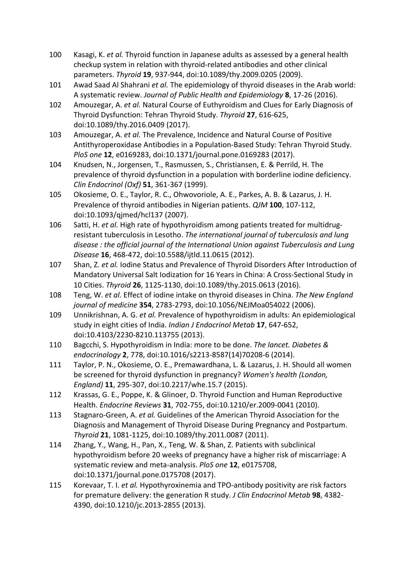- 100 Kasagi, K. *et al.* Thyroid function in Japanese adults as assessed by a general health checkup system in relation with thyroid-related antibodies and other clinical parameters. *Thyroid* 19, 937-944, doi:10.1089/thy.2009.0205 (2009).
- 101 Nwad Saad Al Shahrani et al. The epidemiology of thyroid diseases in the Arab world: A systematic review. Journal of Public Health and Epidemiology 8, 17-26 (2016).
- 102 Amouzegar, A. *et al.* Natural Course of Euthyroidism and Clues for Early Diagnosis of Thyroid Dysfunction: Tehran Thyroid Study. *Thyroid* **27**, 616-625, doi:10.1089/thy.2016.0409 (2017).
- 103 Amouzegar, A. *et al.* The Prevalence, Incidence and Natural Course of Positive Antithyroperoxidase Antibodies in a Population-Based Study: Tehran Thyroid Study. *PloS one* **12**, e0169283, doi:10.1371/journal.pone.0169283 (2017).
- 104 Knudsen, N., Jorgensen, T., Rasmussen, S., Christiansen, E. & Perrild, H. The prevalence of thyroid dysfunction in a population with borderline iodine deficiency. *Clin Endocrinol (Oxf)* **51**, 361-367 (1999).
- 105 Okosieme, O. E., Taylor, R. C., Ohwovoriole, A. E., Parkes, A. B. & Lazarus, J. H. Prevalence of thyroid antibodies in Nigerian patients. *QJM* 100, 107-112, doi:10.1093/qjmed/hcl137 (2007).
- 106 Satti, H. *et al.* High rate of hypothyroidism among patients treated for multidrugresistant tuberculosis in Lesotho. The international journal of tuberculosis and lung disease : the official journal of the International Union against Tuberculosis and Lung *Disease* **16**, 468-472, doi:10.5588/ijtld.11.0615 (2012).
- 107 Shan, Z. et al. Iodine Status and Prevalence of Thyroid Disorders After Introduction of Mandatory Universal Salt Iodization for 16 Years in China: A Cross-Sectional Study in 10 Cities. *Thyroid* **26**, 1125-1130, doi:10.1089/thy.2015.0613 (2016).
- 108 Teng, W. *et al.* Effect of iodine intake on thyroid diseases in China. The New England *journal of medicine* **354**, 2783-2793, doi:10.1056/NEJMoa054022 (2006).
- 109 Unnikrishnan, A. G. et al. Prevalence of hypothyroidism in adults: An epidemiological study in eight cities of India. *Indian J Endocrinol Metab* 17, 647-652, doi:10.4103/2230-8210.113755 (2013).
- 110 Bagcchi, S. Hypothyroidism in India: more to be done. The lancet. Diabetes & *endocrinology* **2**, 778, doi:10.1016/s2213-8587(14)70208-6 (2014).
- 111 Taylor, P. N., Okosieme, O. E., Premawardhana, L. & Lazarus, J. H. Should all women be screened for thyroid dysfunction in pregnancy? *Women's health (London, England*) **11**, 295-307, doi:10.2217/whe.15.7 (2015).
- 112 Krassas, G. E., Poppe, K. & Glinoer, D. Thyroid Function and Human Reproductive Health. *Endocrine Reviews* 31, 702-755, doi:10.1210/er.2009-0041 (2010).
- 113 Stagnaro-Green, A. *et al.* Guidelines of the American Thyroid Association for the Diagnosis and Management of Thyroid Disease During Pregnancy and Postpartum. *Thyroid* **21**, 1081-1125, doi:10.1089/thy.2011.0087 (2011).
- 114 Zhang, Y., Wang, H., Pan, X., Teng, W. & Shan, Z. Patients with subclinical hypothyroidism before 20 weeks of pregnancy have a higher risk of miscarriage: A systematic review and meta-analysis. *PloS one* 12, e0175708, doi:10.1371/journal.pone.0175708 (2017).
- 115 Korevaar, T. I. *et al.* Hypothyroxinemia and TPO-antibody positivity are risk factors for premature delivery: the generation R study. *J Clin Endocrinol Metab* 98, 4382-4390, doi:10.1210/jc.2013-2855 (2013).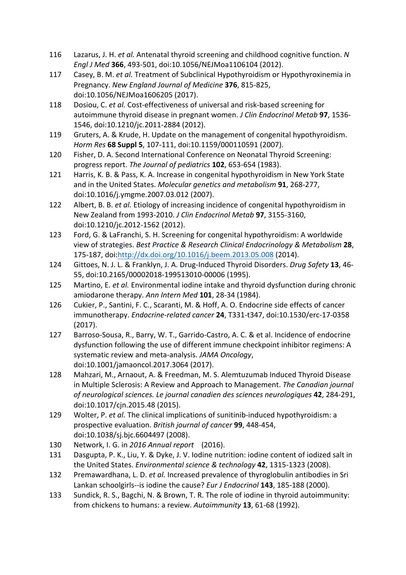- 116 Lazarus, J. H. *et al.* Antenatal thyroid screening and childhood cognitive function. N *Engl J Med* **366**, 493-501, doi:10.1056/NEJMoa1106104 (2012).
- 117 Casey, B. M. et al. Treatment of Subclinical Hypothyroidism or Hypothyroxinemia in Pregnancy. *New England Journal of Medicine* **376**, 815-825, doi:10.1056/NEJMoa1606205 (2017).
- 118 Dosiou, C. et al. Cost-effectiveness of universal and risk-based screening for autoimmune thyroid disease in pregnant women. *J Clin Endocrinol Metab* 97, 1536-1546, doi:10.1210/jc.2011-2884 (2012).
- 119 Gruters, A. & Krude, H. Update on the management of congenital hypothyroidism. *Horm Res* **68 Suppl 5**, 107-111, doi:10.1159/000110591 (2007).
- 120 Fisher, D. A. Second International Conference on Neonatal Thyroid Screening: progress report. The Journal of pediatrics **102**, 653-654 (1983).
- 121 Harris, K. B. & Pass, K. A. Increase in congenital hypothyroidism in New York State and in the United States. *Molecular genetics and metabolism* 91, 268-277, doi:10.1016/j.ymgme.2007.03.012 (2007).
- 122 Albert, B. B. *et al.* Etiology of increasing incidence of congenital hypothyroidism in New Zealand from 1993-2010. *J Clin Endocrinol Metab* **97**, 3155-3160, doi:10.1210/jc.2012-1562 (2012).
- 123 Ford, G. & LaFranchi, S. H. Screening for congenital hypothyroidism: A worldwide view of strategies. *Best Practice & Research Clinical Endocrinology & Metabolism* **28**, 175-187, doi:http://dx.doi.org/10.1016/j.beem.2013.05.008 (2014).
- 124 Gittoes, N. J. L. & Franklyn, J. A. Drug-Induced Thyroid Disorders. *Drug Safety* **13**, 46- 55, doi:10.2165/00002018-199513010-00006 (1995).
- 125 Martino, E. et al. Environmental iodine intake and thyroid dysfunction during chronic amiodarone therapy. Ann Intern Med 101, 28-34 (1984).
- 126 Cukier, P., Santini, F. C., Scaranti, M. & Hoff, A. O. Endocrine side effects of cancer immunotherapy. *Endocrine-related cancer* 24, T331-t347, doi:10.1530/erc-17-0358 (2017).
- 127 Barroso-Sousa, R., Barry, W. T., Garrido-Castro, A. C. & et al. Incidence of endocrine dysfunction following the use of different immune checkpoint inhibitor regimens: A systematic review and meta-analysis. JAMA Oncology, doi:10.1001/jamaoncol.2017.3064 (2017).
- 128 Mahzari, M., Arnaout, A. & Freedman, M. S. Alemtuzumab Induced Thyroid Disease in Multiple Sclerosis: A Review and Approach to Management. *The Canadian journal of neurological sciences. Le journal canadien des sciences neurologiques* **42**, 284-291, doi:10.1017/cjn.2015.48 (2015).
- 129 Wolter, P. et al. The clinical implications of sunitinib-induced hypothyroidism: a prospective evaluation. British journal of cancer 99, 448-454, doi:10.1038/sj.bjc.6604497 (2008).
- 130 Network, I. G. in *2016 Annual report* (2016).
- 131 Dasgupta, P. K., Liu, Y. & Dyke, J. V. Iodine nutrition: iodine content of iodized salt in the United States. *Environmental science & technology* **42**, 1315-1323 (2008).
- 132 Premawardhana, L. D. *et al.* Increased prevalence of thyroglobulin antibodies in Sri Lankan schoolgirls--is iodine the cause? *Eur J Endocrinol* **143**, 185-188 (2000).
- 133 Sundick, R. S., Bagchi, N. & Brown, T. R. The role of iodine in thyroid autoimmunity: from chickens to humans: a review. Autoimmunity 13, 61-68 (1992).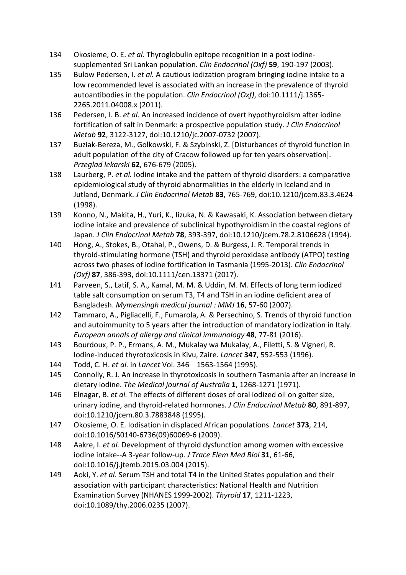- 134 Okosieme, O. E. *et al.* Thyroglobulin epitope recognition in a post iodinesupplemented Sri Lankan population. *Clin Endocrinol (Oxf)* 59, 190-197 (2003).
- 135 Bulow Pedersen, I. et al. A cautious iodization program bringing iodine intake to a low recommended level is associated with an increase in the prevalence of thyroid autoantibodies in the population. *Clin Endocrinol (Oxf)*, doi:10.1111/j.1365-2265.2011.04008.x (2011).
- 136 Pedersen, I. B. *et al.* An increased incidence of overt hypothyroidism after iodine fortification of salt in Denmark: a prospective population study. *J Clin Endocrinol Metab* **92**, 3122-3127, doi:10.1210/jc.2007-0732 (2007).
- 137 Buziak-Bereza, M., Golkowski, F. & Szybinski, Z. [Disturbances of thyroid function in adult population of the city of Cracow followed up for ten years observation]. *Przeglad lekarski* **62**, 676-679 (2005).
- 138 Laurberg, P. et al. Iodine intake and the pattern of thyroid disorders: a comparative epidemiological study of thyroid abnormalities in the elderly in Iceland and in Jutland, Denmark. *J Clin Endocrinol Metab* **83**, 765-769, doi:10.1210/jcem.83.3.4624 (1998).
- 139 Konno, N., Makita, H., Yuri, K., Iizuka, N. & Kawasaki, K. Association between dietary iodine intake and prevalence of subclinical hypothyroidism in the coastal regions of Japan. *J Clin Endocrinol Metab* **78**, 393-397, doi:10.1210/jcem.78.2.8106628 (1994).
- 140 Hong, A., Stokes, B., Otahal, P., Owens, D. & Burgess, J. R. Temporal trends in thyroid-stimulating hormone (TSH) and thyroid peroxidase antibody (ATPO) testing across two phases of iodine fortification in Tasmania (1995-2013). *Clin Endocrinol (Oxf)* **87**, 386-393, doi:10.1111/cen.13371 (2017).
- 141 Parveen, S., Latif, S. A., Kamal, M. M. & Uddin, M. M. Effects of long term iodized table salt consumption on serum T3, T4 and TSH in an iodine deficient area of Bangladesh. Mymensingh medical journal : MMJ 16, 57-60 (2007).
- 142 Tammaro, A., Pigliacelli, F., Fumarola, A. & Persechino, S. Trends of thyroid function and autoimmunity to 5 years after the introduction of mandatory iodization in Italy. *European annals of allergy and clinical immunology* **48**, 77-81 (2016).
- 143 Bourdoux, P. P., Ermans, A. M., Mukalay wa Mukalay, A., Filetti, S. & Vigneri, R. Iodine-induced thyrotoxicosis in Kivu, Zaire. *Lancet* 347, 552-553 (1996).
- 144 Todd, C. H. *et al.* in *Lancet* Vol. 346 1563-1564 (1995).
- 145 Connolly, R. J. An increase in thyrotoxicosis in southern Tasmania after an increase in dietary iodine. The Medical journal of Australia 1, 1268-1271 (1971).
- 146 Elnagar, B. *et al.* The effects of different doses of oral iodized oil on goiter size, urinary iodine, and thyroid-related hormones. *J Clin Endocrinol Metab* 80, 891-897, doi:10.1210/jcem.80.3.7883848 (1995).
- 147 Okosieme, O. E. Iodisation in displaced African populations. *Lancet* 373, 214, doi:10.1016/S0140-6736(09)60069-6 (2009).
- 148 Aakre, I. *et al.* Development of thyroid dysfunction among women with excessive iodine intake--A 3-year follow-up. *J Trace Elem Med Biol* 31, 61-66, doi:10.1016/j.jtemb.2015.03.004 (2015).
- 149 Aoki, Y. *et al.* Serum TSH and total T4 in the United States population and their association with participant characteristics: National Health and Nutrition Examination Survey (NHANES 1999-2002). *Thyroid* **17**, 1211-1223, doi:10.1089/thy.2006.0235 (2007).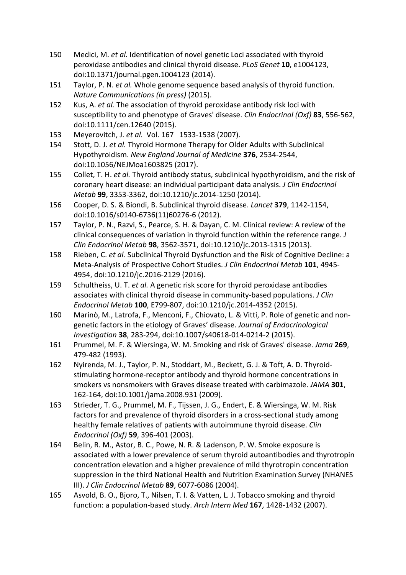- 150 Medici, M. et al. Identification of novel genetic Loci associated with thyroid peroxidase antibodies and clinical thyroid disease. *PLoS Genet* 10, e1004123, doi:10.1371/journal.pgen.1004123 (2014).
- 151 Taylor, P. N. et al. Whole genome sequence based analysis of thyroid function. *Nature Communications (in press)* (2015).
- 152 Kus, A. *et al.* The association of thyroid peroxidase antibody risk loci with susceptibility to and phenotype of Graves' disease. *Clin Endocrinol (Oxf)* 83, 556-562, doi:10.1111/cen.12640 (2015).
- 153 Meyerovitch, J. et al. Vol. 167 1533-1538 (2007).
- 154 Stott, D. J. et al. Thyroid Hormone Therapy for Older Adults with Subclinical Hypothyroidism. *New England Journal of Medicine* **376**, 2534-2544, doi:10.1056/NEJMoa1603825 (2017).
- 155 Collet, T. H. et al. Thyroid antibody status, subclinical hypothyroidism, and the risk of coronary heart disease: an individual participant data analysis. *J Clin Endocrinol Metab* 99, 3353-3362, doi:10.1210/jc.2014-1250 (2014).
- 156 Cooper, D. S. & Biondi, B. Subclinical thyroid disease. *Lancet* **379**, 1142-1154, doi:10.1016/s0140-6736(11)60276-6 (2012).
- 157 Taylor, P. N., Razvi, S., Pearce, S. H. & Dayan, C. M. Clinical review: A review of the clinical consequences of variation in thyroid function within the reference range. *J Clin Endocrinol Metab* **98**, 3562-3571, doi:10.1210/jc.2013-1315 (2013).
- 158 Rieben, C. et al. Subclinical Thyroid Dysfunction and the Risk of Cognitive Decline: a Meta-Analysis of Prospective Cohort Studies. *J Clin Endocrinol Metab* 101, 4945-4954, doi:10.1210/jc.2016-2129 (2016).
- 159 Schultheiss, U. T. *et al.* A genetic risk score for thyroid peroxidase antibodies associates with clinical thyroid disease in community-based populations. *J Clin Endocrinol Metab* **100**, E799-807, doi:10.1210/jc.2014-4352 (2015).
- 160 Marinò, M., Latrofa, F., Menconi, F., Chiovato, L. & Vitti, P. Role of genetic and nongenetic factors in the etiology of Graves' disease. Journal of Endocrinological *Investigation* **38**, 283-294, doi:10.1007/s40618-014-0214-2 (2015).
- 161 Prummel, M. F. & Wiersinga, W. M. Smoking and risk of Graves' disease. *Jama* **269**, 479-482 (1993).
- 162 Nyirenda, M. J., Taylor, P. N., Stoddart, M., Beckett, G. J. & Toft, A. D. Thyroidstimulating hormone-receptor antibody and thyroid hormone concentrations in smokers vs nonsmokers with Graves disease treated with carbimazole. *JAMA* 301, 162-164, doi:10.1001/jama.2008.931 (2009).
- 163 Strieder, T. G., Prummel, M. F., Tijssen, J. G., Endert, E. & Wiersinga, W. M. Risk factors for and prevalence of thyroid disorders in a cross-sectional study among healthy female relatives of patients with autoimmune thyroid disease. *Clin Endocrinol (Oxf)* **59**, 396-401 (2003).
- 164 Belin, R. M., Astor, B. C., Powe, N. R. & Ladenson, P. W. Smoke exposure is associated with a lower prevalence of serum thyroid autoantibodies and thyrotropin concentration elevation and a higher prevalence of mild thyrotropin concentration suppression in the third National Health and Nutrition Examination Survey (NHANES III). *J Clin Endocrinol Metab* **89**, 6077-6086 (2004).
- 165 Asvold, B. O., Bjoro, T., Nilsen, T. I. & Vatten, L. J. Tobacco smoking and thyroid function: a population-based study. Arch Intern Med 167, 1428-1432 (2007).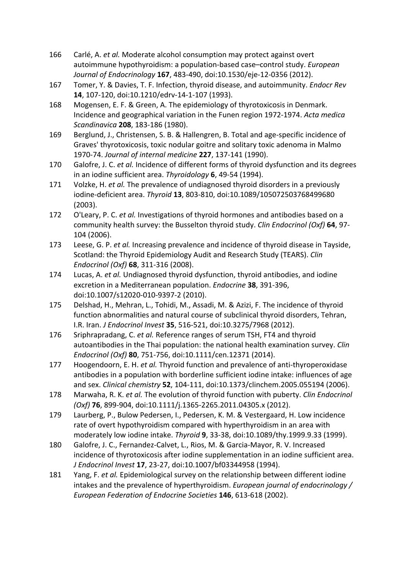- 166 Carlé, A. *et al.* Moderate alcohol consumption may protect against overt autoimmune hypothyroidism: a population-based case-control study. *European Journal of Endocrinology* **167**, 483-490, doi:10.1530/eje-12-0356 (2012).
- 167 Tomer, Y. & Davies, T. F. Infection, thyroid disease, and autoimmunity. *Endocr Rev* 14, 107-120, doi:10.1210/edrv-14-1-107 (1993).
- 168 Mogensen, E. F. & Green, A. The epidemiology of thyrotoxicosis in Denmark. Incidence and geographical variation in the Funen region 1972-1974. Acta medica *Scandinavica* **208**, 183-186 (1980).
- 169 Berglund, J., Christensen, S. B. & Hallengren, B. Total and age-specific incidence of Graves' thyrotoxicosis, toxic nodular goitre and solitary toxic adenoma in Malmo 1970-74. *Journal of internal medicine* **227**, 137-141 (1990).
- 170 Galofre, J. C. *et al.* Incidence of different forms of thyroid dysfunction and its degrees in an iodine sufficient area. *Thyroidology* 6, 49-54 (1994).
- 171 Volzke, H. *et al.* The prevalence of undiagnosed thyroid disorders in a previously iodine-deficient area. *Thyroid* **13**, 803-810, doi:10.1089/105072503768499680 (2003).
- 172 O'Leary, P. C. *et al.* Investigations of thyroid hormones and antibodies based on a community health survey: the Busselton thyroid study. *Clin Endocrinol (Oxf)* 64, 97-104 (2006).
- 173 Leese, G. P. *et al.* Increasing prevalence and incidence of thyroid disease in Tayside, Scotland: the Thyroid Epidemiology Audit and Research Study (TEARS). *Clin Endocrinol (Oxf)* **68**, 311-316 (2008).
- 174 Lucas, A. *et al.* Undiagnosed thyroid dysfunction, thyroid antibodies, and iodine excretion in a Mediterranean population. *Endocrine* **38**, 391-396, doi:10.1007/s12020-010-9397-2 (2010).
- 175 Delshad, H., Mehran, L., Tohidi, M., Assadi, M. & Azizi, F. The incidence of thyroid function abnormalities and natural course of subclinical thyroid disorders, Tehran, I.R. Iran. *J Endocrinol Invest* **35**, 516-521, doi:10.3275/7968 (2012).
- 176 Sriphrapradang, C. et al. Reference ranges of serum TSH, FT4 and thyroid autoantibodies in the Thai population: the national health examination survey. *Clin Endocrinol (Oxf)* **80**, 751-756, doi:10.1111/cen.12371 (2014).
- 177 Hoogendoorn, E. H. *et al.* Thyroid function and prevalence of anti-thyroperoxidase antibodies in a population with borderline sufficient iodine intake: influences of age and sex. *Clinical chemistry* **52**, 104-111, doi:10.1373/clinchem.2005.055194 (2006).
- 178 Marwaha, R. K. et al. The evolution of thyroid function with puberty. *Clin Endocrinol (Oxf)* **76**, 899-904, doi:10.1111/j.1365-2265.2011.04305.x (2012).
- 179 Laurberg, P., Bulow Pedersen, I., Pedersen, K. M. & Vestergaard, H. Low incidence rate of overt hypothyroidism compared with hyperthyroidism in an area with moderately low iodine intake. *Thyroid* 9, 33-38, doi:10.1089/thy.1999.9.33 (1999).
- 180 Galofre, J. C., Fernandez-Calvet, L., Rios, M. & Garcia-Mayor, R. V. Increased incidence of thyrotoxicosis after iodine supplementation in an iodine sufficient area. *J* Endocrinol Invest 17, 23-27, doi:10.1007/bf03344958 (1994).
- 181 Yang, F. *et al.* Epidemiological survey on the relationship between different iodine intakes and the prevalence of hyperthyroidism. *European journal of endocrinology* / *European Federation of Endocrine Societies* **146**, 613-618 (2002).